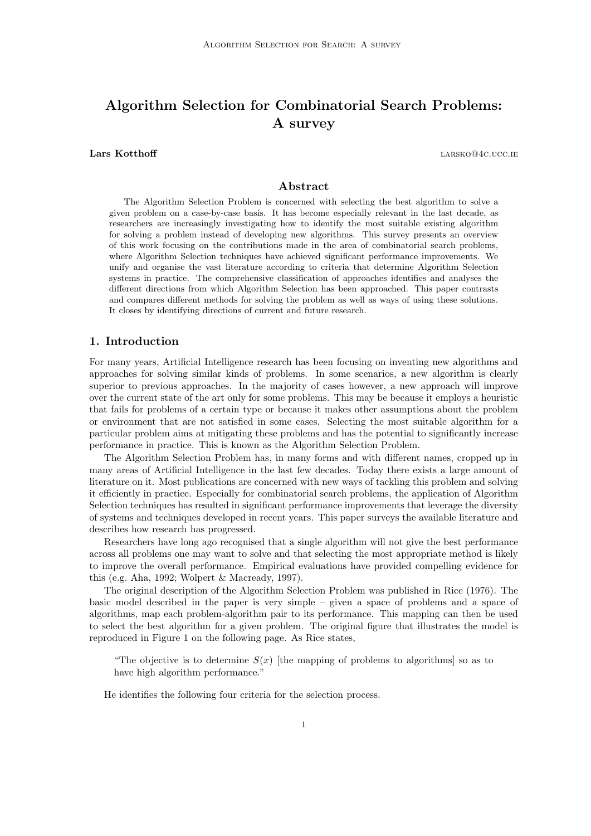# **Algorithm Selection for Combinatorial Search Problems: A survey**

**Lars Kotthoff larses in the large set of the large set of the large set of the large set of the large set of the large set of the large set of the large set of the large set of the large set of the large set of the larg** 

# **Abstract**

The Algorithm Selection Problem is concerned with selecting the best algorithm to solve a given problem on a case-by-case basis. It has become especially relevant in the last decade, as researchers are increasingly investigating how to identify the most suitable existing algorithm for solving a problem instead of developing new algorithms. This survey presents an overview of this work focusing on the contributions made in the area of combinatorial search problems, where Algorithm Selection techniques have achieved significant performance improvements. We unify and organise the vast literature according to criteria that determine Algorithm Selection systems in practice. The comprehensive classification of approaches identifies and analyses the different directions from which Algorithm Selection has been approached. This paper contrasts and compares different methods for solving the problem as well as ways of using these solutions. It closes by identifying directions of current and future research.

# **1. Introduction**

For many years, Artificial Intelligence research has been focusing on inventing new algorithms and approaches for solving similar kinds of problems. In some scenarios, a new algorithm is clearly superior to previous approaches. In the majority of cases however, a new approach will improve over the current state of the art only for some problems. This may be because it employs a heuristic that fails for problems of a certain type or because it makes other assumptions about the problem or environment that are not satisfied in some cases. Selecting the most suitable algorithm for a particular problem aims at mitigating these problems and has the potential to significantly increase performance in practice. This is known as the Algorithm Selection Problem.

The Algorithm Selection Problem has, in many forms and with different names, cropped up in many areas of Artificial Intelligence in the last few decades. Today there exists a large amount of literature on it. Most publications are concerned with new ways of tackling this problem and solving it efficiently in practice. Especially for combinatorial search problems, the application of Algorithm Selection techniques has resulted in significant performance improvements that leverage the diversity of systems and techniques developed in recent years. This paper surveys the available literature and describes how research has progressed.

Researchers have long ago recognised that a single algorithm will not give the best performance across all problems one may want to solve and that selecting the most appropriate method is likely to improve the overall performance. Empirical evaluations have provided compelling evidence for this (e.g. Aha, 1992; Wolpert & Macready, 1997).

The original description of the Algorithm Selection Problem was published in Rice (1976). The basic model described in the paper is very simple – given a space of problems and a space of algorithms, map each problem-algorithm pair to its performance. This mapping can then be used to select the best algorithm for a given problem. The original figure that illustrates the model is reproduced in Figure 1 on the following page. As Rice states,

"The objective is to determine  $S(x)$  [the mapping of problems to algorithms] so as to have high algorithm performance."

He identifies the following four criteria for the selection process.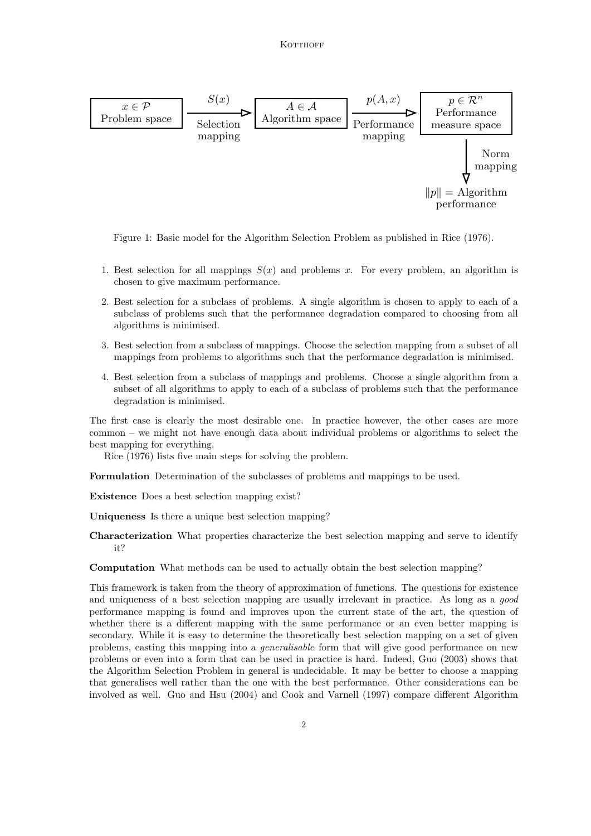

Figure 1: Basic model for the Algorithm Selection Problem as published in Rice (1976).

- 1. Best selection for all mappings  $S(x)$  and problems x. For every problem, an algorithm is chosen to give maximum performance.
- 2. Best selection for a subclass of problems. A single algorithm is chosen to apply to each of a subclass of problems such that the performance degradation compared to choosing from all algorithms is minimised.
- 3. Best selection from a subclass of mappings. Choose the selection mapping from a subset of all mappings from problems to algorithms such that the performance degradation is minimised.
- 4. Best selection from a subclass of mappings and problems. Choose a single algorithm from a subset of all algorithms to apply to each of a subclass of problems such that the performance degradation is minimised.

The first case is clearly the most desirable one. In practice however, the other cases are more common – we might not have enough data about individual problems or algorithms to select the best mapping for everything.

Rice (1976) lists five main steps for solving the problem.

**Formulation** Determination of the subclasses of problems and mappings to be used.

**Existence** Does a best selection mapping exist?

**Uniqueness** Is there a unique best selection mapping?

**Characterization** What properties characterize the best selection mapping and serve to identify it?

**Computation** What methods can be used to actually obtain the best selection mapping?

This framework is taken from the theory of approximation of functions. The questions for existence and uniqueness of a best selection mapping are usually irrelevant in practice. As long as a *good* performance mapping is found and improves upon the current state of the art, the question of whether there is a different mapping with the same performance or an even better mapping is secondary. While it is easy to determine the theoretically best selection mapping on a set of given problems, casting this mapping into a *generalisable* form that will give good performance on new problems or even into a form that can be used in practice is hard. Indeed, Guo (2003) shows that the Algorithm Selection Problem in general is undecidable. It may be better to choose a mapping that generalises well rather than the one with the best performance. Other considerations can be involved as well. Guo and Hsu (2004) and Cook and Varnell (1997) compare different Algorithm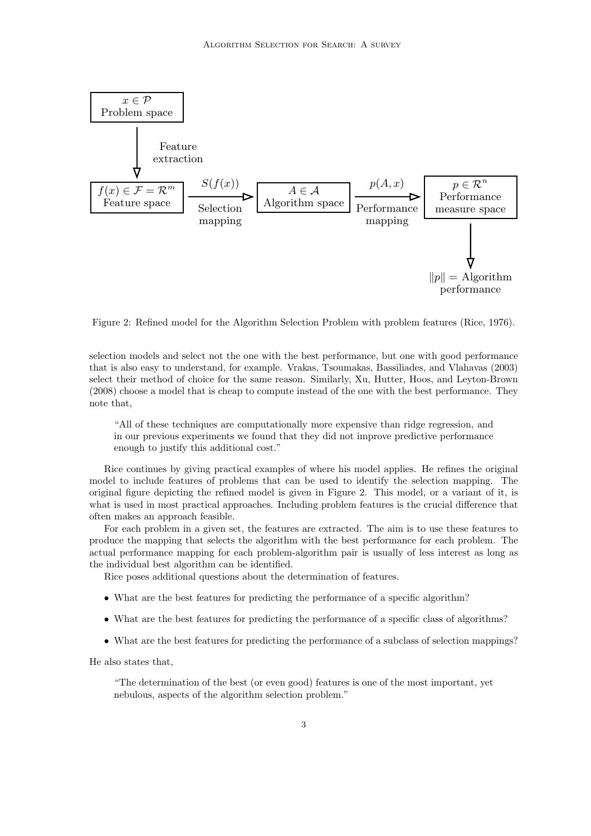

Figure 2: Refined model for the Algorithm Selection Problem with problem features (Rice, 1976).

selection models and select not the one with the best performance, but one with good performance that is also easy to understand, for example. Vrakas, Tsoumakas, Bassiliades, and Vlahavas (2003) select their method of choice for the same reason. Similarly, Xu, Hutter, Hoos, and Leyton-Brown (2008) choose a model that is cheap to compute instead of the one with the best performance. They note that,

"All of these techniques are computationally more expensive than ridge regression, and in our previous experiments we found that they did not improve predictive performance enough to justify this additional cost."

Rice continues by giving practical examples of where his model applies. He refines the original model to include features of problems that can be used to identify the selection mapping. The original figure depicting the refined model is given in Figure 2. This model, or a variant of it, is what is used in most practical approaches. Including problem features is the crucial difference that often makes an approach feasible.

For each problem in a given set, the features are extracted. The aim is to use these features to produce the mapping that selects the algorithm with the best performance for each problem. The actual performance mapping for each problem-algorithm pair is usually of less interest as long as the individual best algorithm can be identified.

Rice poses additional questions about the determination of features.

- What are the best features for predicting the performance of a specific algorithm?
- What are the best features for predicting the performance of a specific class of algorithms?
- What are the best features for predicting the performance of a subclass of selection mappings?

He also states that,

"The determination of the best (or even good) features is one of the most important, yet nebulous, aspects of the algorithm selection problem."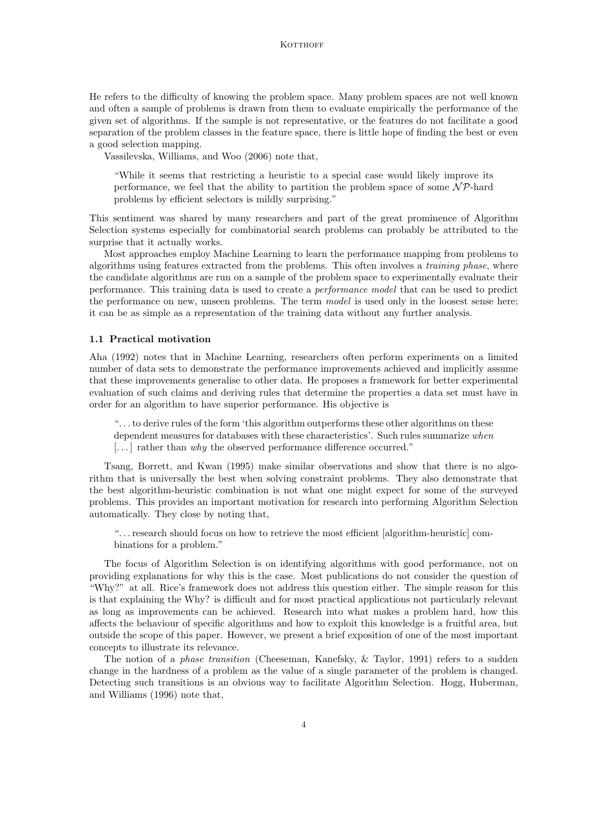He refers to the difficulty of knowing the problem space. Many problem spaces are not well known and often a sample of problems is drawn from them to evaluate empirically the performance of the given set of algorithms. If the sample is not representative, or the features do not facilitate a good separation of the problem classes in the feature space, there is little hope of finding the best or even a good selection mapping.

Vassilevska, Williams, and Woo (2006) note that,

"While it seems that restricting a heuristic to a special case would likely improve its performance, we feel that the ability to partition the problem space of some  $\mathcal{NP}$ -hard problems by efficient selectors is mildly surprising."

This sentiment was shared by many researchers and part of the great prominence of Algorithm Selection systems especially for combinatorial search problems can probably be attributed to the surprise that it actually works.

Most approaches employ Machine Learning to learn the performance mapping from problems to algorithms using features extracted from the problems. This often involves a *training phase*, where the candidate algorithms are run on a sample of the problem space to experimentally evaluate their performance. This training data is used to create a *performance model* that can be used to predict the performance on new, unseen problems. The term *model* is used only in the loosest sense here; it can be as simple as a representation of the training data without any further analysis.

### **1.1 Practical motivation**

Aha (1992) notes that in Machine Learning, researchers often perform experiments on a limited number of data sets to demonstrate the performance improvements achieved and implicitly assume that these improvements generalise to other data. He proposes a framework for better experimental evaluation of such claims and deriving rules that determine the properties a data set must have in order for an algorithm to have superior performance. His objective is

". . . to derive rules of the form 'this algorithm outperforms these other algorithms on these dependent measures for databases with these characteristics'. Such rules summarize *when* [...] rather than *why* the observed performance difference occurred."

Tsang, Borrett, and Kwan (1995) make similar observations and show that there is no algorithm that is universally the best when solving constraint problems. They also demonstrate that the best algorithm-heuristic combination is not what one might expect for some of the surveyed problems. This provides an important motivation for research into performing Algorithm Selection automatically. They close by noting that,

". . . research should focus on how to retrieve the most efficient [algorithm-heuristic] combinations for a problem."

The focus of Algorithm Selection is on identifying algorithms with good performance, not on providing explanations for why this is the case. Most publications do not consider the question of "Why?" at all. Rice's framework does not address this question either. The simple reason for this is that explaining the Why? is difficult and for most practical applications not particularly relevant as long as improvements can be achieved. Research into what makes a problem hard, how this affects the behaviour of specific algorithms and how to exploit this knowledge is a fruitful area, but outside the scope of this paper. However, we present a brief exposition of one of the most important concepts to illustrate its relevance.

The notion of a *phase transition* (Cheeseman, Kanefsky, & Taylor, 1991) refers to a sudden change in the hardness of a problem as the value of a single parameter of the problem is changed. Detecting such transitions is an obvious way to facilitate Algorithm Selection. Hogg, Huberman, and Williams (1996) note that,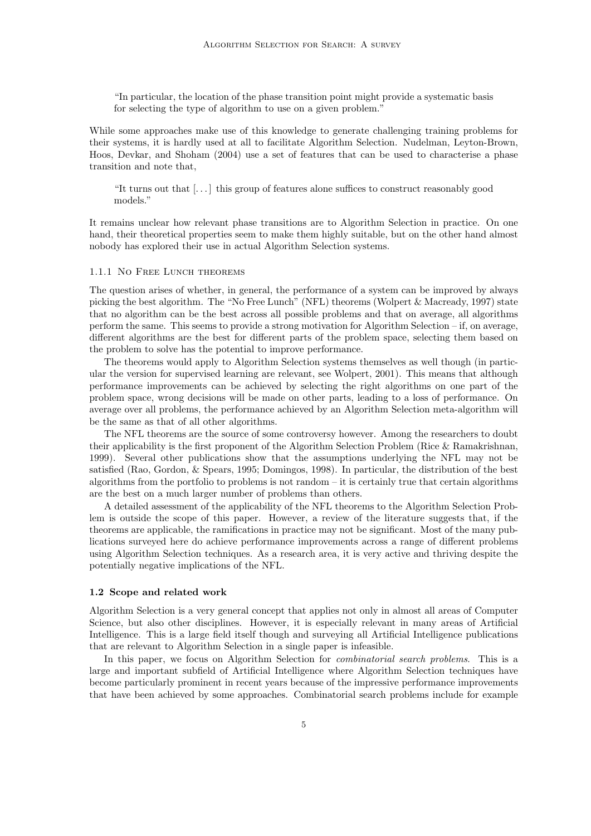"In particular, the location of the phase transition point might provide a systematic basis for selecting the type of algorithm to use on a given problem."

While some approaches make use of this knowledge to generate challenging training problems for their systems, it is hardly used at all to facilitate Algorithm Selection. Nudelman, Leyton-Brown, Hoos, Devkar, and Shoham (2004) use a set of features that can be used to characterise a phase transition and note that,

"It turns out that [. . . ] this group of features alone suffices to construct reasonably good models."

It remains unclear how relevant phase transitions are to Algorithm Selection in practice. On one hand, their theoretical properties seem to make them highly suitable, but on the other hand almost nobody has explored their use in actual Algorithm Selection systems.

#### 1.1.1 No Free Lunch theorems

The question arises of whether, in general, the performance of a system can be improved by always picking the best algorithm. The "No Free Lunch" (NFL) theorems (Wolpert & Macready, 1997) state that no algorithm can be the best across all possible problems and that on average, all algorithms perform the same. This seems to provide a strong motivation for Algorithm Selection – if, on average, different algorithms are the best for different parts of the problem space, selecting them based on the problem to solve has the potential to improve performance.

The theorems would apply to Algorithm Selection systems themselves as well though (in particular the version for supervised learning are relevant, see Wolpert, 2001). This means that although performance improvements can be achieved by selecting the right algorithms on one part of the problem space, wrong decisions will be made on other parts, leading to a loss of performance. On average over all problems, the performance achieved by an Algorithm Selection meta-algorithm will be the same as that of all other algorithms.

The NFL theorems are the source of some controversy however. Among the researchers to doubt their applicability is the first proponent of the Algorithm Selection Problem (Rice & Ramakrishnan, 1999). Several other publications show that the assumptions underlying the NFL may not be satisfied (Rao, Gordon, & Spears, 1995; Domingos, 1998). In particular, the distribution of the best algorithms from the portfolio to problems is not random – it is certainly true that certain algorithms are the best on a much larger number of problems than others.

A detailed assessment of the applicability of the NFL theorems to the Algorithm Selection Problem is outside the scope of this paper. However, a review of the literature suggests that, if the theorems are applicable, the ramifications in practice may not be significant. Most of the many publications surveyed here do achieve performance improvements across a range of different problems using Algorithm Selection techniques. As a research area, it is very active and thriving despite the potentially negative implications of the NFL.

### **1.2 Scope and related work**

Algorithm Selection is a very general concept that applies not only in almost all areas of Computer Science, but also other disciplines. However, it is especially relevant in many areas of Artificial Intelligence. This is a large field itself though and surveying all Artificial Intelligence publications that are relevant to Algorithm Selection in a single paper is infeasible.

In this paper, we focus on Algorithm Selection for *combinatorial search problems*. This is a large and important subfield of Artificial Intelligence where Algorithm Selection techniques have become particularly prominent in recent years because of the impressive performance improvements that have been achieved by some approaches. Combinatorial search problems include for example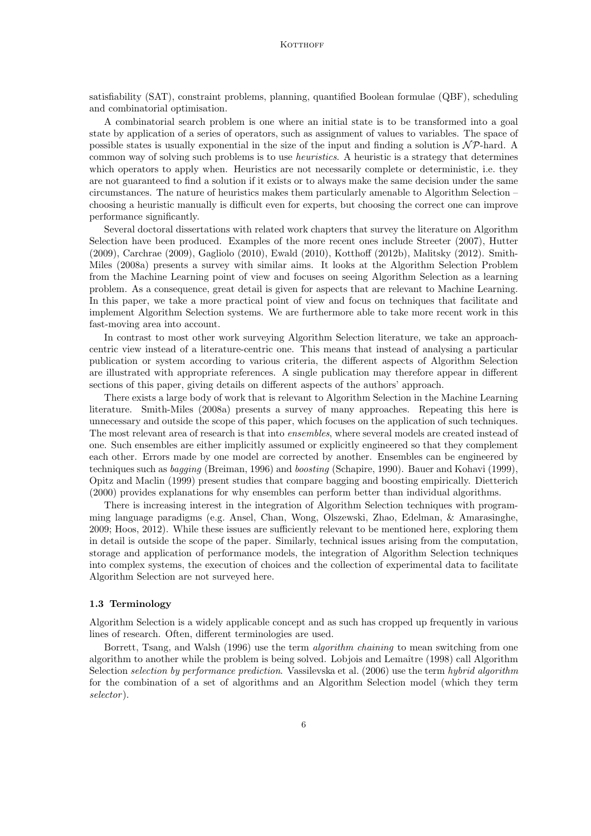satisfiability (SAT), constraint problems, planning, quantified Boolean formulae (QBF), scheduling and combinatorial optimisation.

A combinatorial search problem is one where an initial state is to be transformed into a goal state by application of a series of operators, such as assignment of values to variables. The space of possible states is usually exponential in the size of the input and finding a solution is *N P*-hard. A common way of solving such problems is to use *heuristics*. A heuristic is a strategy that determines which operators to apply when. Heuristics are not necessarily complete or deterministic, i.e. they are not guaranteed to find a solution if it exists or to always make the same decision under the same circumstances. The nature of heuristics makes them particularly amenable to Algorithm Selection – choosing a heuristic manually is difficult even for experts, but choosing the correct one can improve performance significantly.

Several doctoral dissertations with related work chapters that survey the literature on Algorithm Selection have been produced. Examples of the more recent ones include Streeter (2007), Hutter (2009), Carchrae (2009), Gagliolo (2010), Ewald (2010), Kotthoff (2012b), Malitsky (2012). Smith-Miles (2008a) presents a survey with similar aims. It looks at the Algorithm Selection Problem from the Machine Learning point of view and focuses on seeing Algorithm Selection as a learning problem. As a consequence, great detail is given for aspects that are relevant to Machine Learning. In this paper, we take a more practical point of view and focus on techniques that facilitate and implement Algorithm Selection systems. We are furthermore able to take more recent work in this fast-moving area into account.

In contrast to most other work surveying Algorithm Selection literature, we take an approachcentric view instead of a literature-centric one. This means that instead of analysing a particular publication or system according to various criteria, the different aspects of Algorithm Selection are illustrated with appropriate references. A single publication may therefore appear in different sections of this paper, giving details on different aspects of the authors' approach.

There exists a large body of work that is relevant to Algorithm Selection in the Machine Learning literature. Smith-Miles (2008a) presents a survey of many approaches. Repeating this here is unnecessary and outside the scope of this paper, which focuses on the application of such techniques. The most relevant area of research is that into *ensembles*, where several models are created instead of one. Such ensembles are either implicitly assumed or explicitly engineered so that they complement each other. Errors made by one model are corrected by another. Ensembles can be engineered by techniques such as *bagging* (Breiman, 1996) and *boosting* (Schapire, 1990). Bauer and Kohavi (1999), Opitz and Maclin (1999) present studies that compare bagging and boosting empirically. Dietterich (2000) provides explanations for why ensembles can perform better than individual algorithms.

There is increasing interest in the integration of Algorithm Selection techniques with programming language paradigms (e.g. Ansel, Chan, Wong, Olszewski, Zhao, Edelman, & Amarasinghe, 2009; Hoos, 2012). While these issues are sufficiently relevant to be mentioned here, exploring them in detail is outside the scope of the paper. Similarly, technical issues arising from the computation, storage and application of performance models, the integration of Algorithm Selection techniques into complex systems, the execution of choices and the collection of experimental data to facilitate Algorithm Selection are not surveyed here.

# **1.3 Terminology**

Algorithm Selection is a widely applicable concept and as such has cropped up frequently in various lines of research. Often, different terminologies are used.

Borrett, Tsang, and Walsh (1996) use the term *algorithm chaining* to mean switching from one algorithm to another while the problem is being solved. Lobjois and Lemaître (1998) call Algorithm Selection *selection by performance prediction*. Vassilevska et al. (2006) use the term *hybrid algorithm* for the combination of a set of algorithms and an Algorithm Selection model (which they term *selector* ).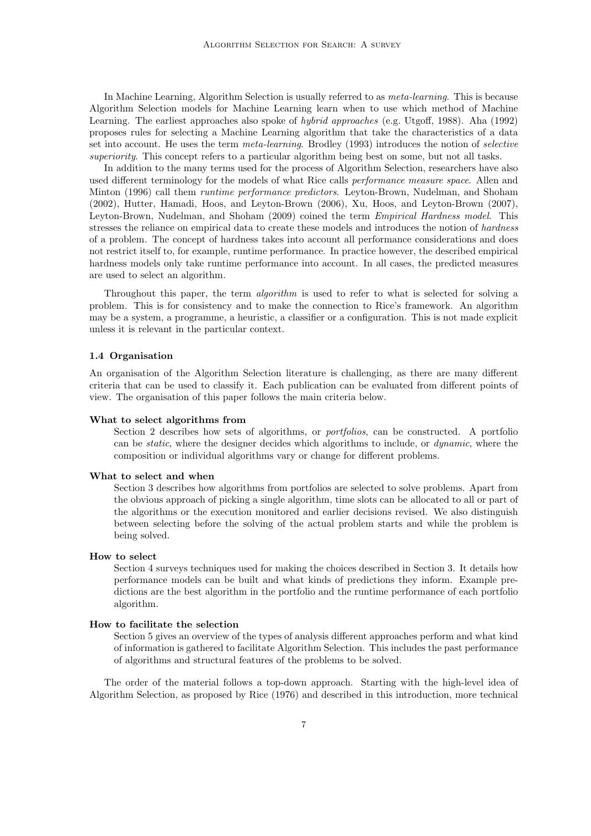In Machine Learning, Algorithm Selection is usually referred to as *meta-learning*. This is because Algorithm Selection models for Machine Learning learn when to use which method of Machine Learning. The earliest approaches also spoke of *hybrid approaches* (e.g. Utgoff, 1988). Aha (1992) proposes rules for selecting a Machine Learning algorithm that take the characteristics of a data set into account. He uses the term *meta-learning*. Brodley (1993) introduces the notion of *selective superiority*. This concept refers to a particular algorithm being best on some, but not all tasks.

In addition to the many terms used for the process of Algorithm Selection, researchers have also used different terminology for the models of what Rice calls *performance measure space*. Allen and Minton (1996) call them *runtime performance predictors*. Leyton-Brown, Nudelman, and Shoham (2002), Hutter, Hamadi, Hoos, and Leyton-Brown (2006), Xu, Hoos, and Leyton-Brown (2007), Leyton-Brown, Nudelman, and Shoham (2009) coined the term *Empirical Hardness model*. This stresses the reliance on empirical data to create these models and introduces the notion of *hardness* of a problem. The concept of hardness takes into account all performance considerations and does not restrict itself to, for example, runtime performance. In practice however, the described empirical hardness models only take runtime performance into account. In all cases, the predicted measures are used to select an algorithm.

Throughout this paper, the term *algorithm* is used to refer to what is selected for solving a problem. This is for consistency and to make the connection to Rice's framework. An algorithm may be a system, a programme, a heuristic, a classifier or a configuration. This is not made explicit unless it is relevant in the particular context.

# **1.4 Organisation**

An organisation of the Algorithm Selection literature is challenging, as there are many different criteria that can be used to classify it. Each publication can be evaluated from different points of view. The organisation of this paper follows the main criteria below.

### **What to select algorithms from**

Section 2 describes how sets of algorithms, or *portfolios*, can be constructed. A portfolio can be *static*, where the designer decides which algorithms to include, or *dynamic*, where the composition or individual algorithms vary or change for different problems.

### **What to select and when**

Section 3 describes how algorithms from portfolios are selected to solve problems. Apart from the obvious approach of picking a single algorithm, time slots can be allocated to all or part of the algorithms or the execution monitored and earlier decisions revised. We also distinguish between selecting before the solving of the actual problem starts and while the problem is being solved.

### **How to select**

Section 4 surveys techniques used for making the choices described in Section 3. It details how performance models can be built and what kinds of predictions they inform. Example predictions are the best algorithm in the portfolio and the runtime performance of each portfolio algorithm.

## **How to facilitate the selection**

Section 5 gives an overview of the types of analysis different approaches perform and what kind of information is gathered to facilitate Algorithm Selection. This includes the past performance of algorithms and structural features of the problems to be solved.

The order of the material follows a top-down approach. Starting with the high-level idea of Algorithm Selection, as proposed by Rice (1976) and described in this introduction, more technical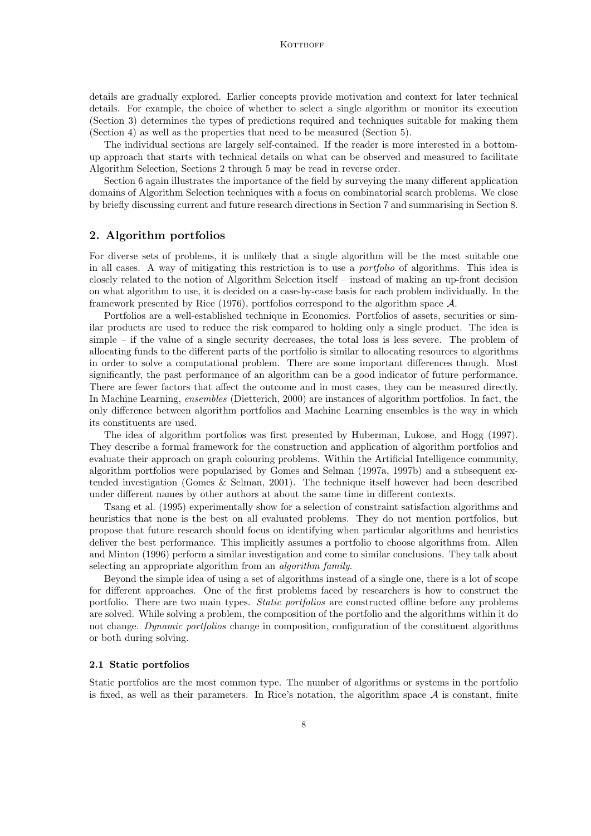details are gradually explored. Earlier concepts provide motivation and context for later technical details. For example, the choice of whether to select a single algorithm or monitor its execution (Section 3) determines the types of predictions required and techniques suitable for making them (Section 4) as well as the properties that need to be measured (Section 5).

The individual sections are largely self-contained. If the reader is more interested in a bottomup approach that starts with technical details on what can be observed and measured to facilitate Algorithm Selection, Sections 2 through 5 may be read in reverse order.

Section 6 again illustrates the importance of the field by surveying the many different application domains of Algorithm Selection techniques with a focus on combinatorial search problems. We close by briefly discussing current and future research directions in Section 7 and summarising in Section 8.

# **2. Algorithm portfolios**

For diverse sets of problems, it is unlikely that a single algorithm will be the most suitable one in all cases. A way of mitigating this restriction is to use a *portfolio* of algorithms. This idea is closely related to the notion of Algorithm Selection itself – instead of making an up-front decision on what algorithm to use, it is decided on a case-by-case basis for each problem individually. In the framework presented by Rice (1976), portfolios correspond to the algorithm space *A*.

Portfolios are a well-established technique in Economics. Portfolios of assets, securities or similar products are used to reduce the risk compared to holding only a single product. The idea is simple – if the value of a single security decreases, the total loss is less severe. The problem of allocating funds to the different parts of the portfolio is similar to allocating resources to algorithms in order to solve a computational problem. There are some important differences though. Most significantly, the past performance of an algorithm can be a good indicator of future performance. There are fewer factors that affect the outcome and in most cases, they can be measured directly. In Machine Learning, *ensembles* (Dietterich, 2000) are instances of algorithm portfolios. In fact, the only difference between algorithm portfolios and Machine Learning ensembles is the way in which its constituents are used.

The idea of algorithm portfolios was first presented by Huberman, Lukose, and Hogg (1997). They describe a formal framework for the construction and application of algorithm portfolios and evaluate their approach on graph colouring problems. Within the Artificial Intelligence community, algorithm portfolios were popularised by Gomes and Selman (1997a, 1997b) and a subsequent extended investigation (Gomes & Selman, 2001). The technique itself however had been described under different names by other authors at about the same time in different contexts.

Tsang et al. (1995) experimentally show for a selection of constraint satisfaction algorithms and heuristics that none is the best on all evaluated problems. They do not mention portfolios, but propose that future research should focus on identifying when particular algorithms and heuristics deliver the best performance. This implicitly assumes a portfolio to choose algorithms from. Allen and Minton (1996) perform a similar investigation and come to similar conclusions. They talk about selecting an appropriate algorithm from an *algorithm family*.

Beyond the simple idea of using a set of algorithms instead of a single one, there is a lot of scope for different approaches. One of the first problems faced by researchers is how to construct the portfolio. There are two main types. *Static portfolios* are constructed offline before any problems are solved. While solving a problem, the composition of the portfolio and the algorithms within it do not change. *Dynamic portfolios* change in composition, configuration of the constituent algorithms or both during solving.

### **2.1 Static portfolios**

Static portfolios are the most common type. The number of algorithms or systems in the portfolio is fixed, as well as their parameters. In Rice's notation, the algorithm space  $A$  is constant, finite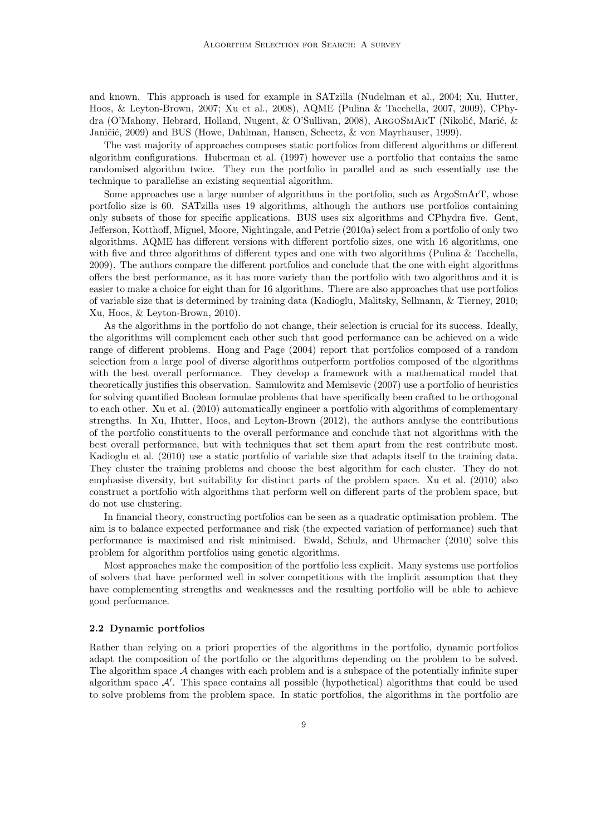and known. This approach is used for example in SATzilla (Nudelman et al., 2004; Xu, Hutter, Hoos, & Leyton-Brown, 2007; Xu et al., 2008), AQME (Pulina & Tacchella, 2007, 2009), CPhydra (O'Mahony, Hebrard, Holland, Nugent, & O'Sullivan, 2008), ARGOSMART (Nikolić, Marić, & Janičić, 2009) and BUS (Howe, Dahlman, Hansen, Scheetz, & von Mayrhauser, 1999).

The vast majority of approaches composes static portfolios from different algorithms or different algorithm configurations. Huberman et al. (1997) however use a portfolio that contains the same randomised algorithm twice. They run the portfolio in parallel and as such essentially use the technique to parallelise an existing sequential algorithm.

Some approaches use a large number of algorithms in the portfolio, such as ArgoSmArT, whose portfolio size is 60. SATzilla uses 19 algorithms, although the authors use portfolios containing only subsets of those for specific applications. BUS uses six algorithms and CPhydra five. Gent, Jefferson, Kotthoff, Miguel, Moore, Nightingale, and Petrie (2010a) select from a portfolio of only two algorithms. AQME has different versions with different portfolio sizes, one with 16 algorithms, one with five and three algorithms of different types and one with two algorithms (Pulina & Tacchella, 2009). The authors compare the different portfolios and conclude that the one with eight algorithms offers the best performance, as it has more variety than the portfolio with two algorithms and it is easier to make a choice for eight than for 16 algorithms. There are also approaches that use portfolios of variable size that is determined by training data (Kadioglu, Malitsky, Sellmann, & Tierney, 2010; Xu, Hoos, & Leyton-Brown, 2010).

As the algorithms in the portfolio do not change, their selection is crucial for its success. Ideally, the algorithms will complement each other such that good performance can be achieved on a wide range of different problems. Hong and Page (2004) report that portfolios composed of a random selection from a large pool of diverse algorithms outperform portfolios composed of the algorithms with the best overall performance. They develop a framework with a mathematical model that theoretically justifies this observation. Samulowitz and Memisevic (2007) use a portfolio of heuristics for solving quantified Boolean formulae problems that have specifically been crafted to be orthogonal to each other. Xu et al. (2010) automatically engineer a portfolio with algorithms of complementary strengths. In Xu, Hutter, Hoos, and Leyton-Brown (2012), the authors analyse the contributions of the portfolio constituents to the overall performance and conclude that not algorithms with the best overall performance, but with techniques that set them apart from the rest contribute most. Kadioglu et al. (2010) use a static portfolio of variable size that adapts itself to the training data. They cluster the training problems and choose the best algorithm for each cluster. They do not emphasise diversity, but suitability for distinct parts of the problem space. Xu et al. (2010) also construct a portfolio with algorithms that perform well on different parts of the problem space, but do not use clustering.

In financial theory, constructing portfolios can be seen as a quadratic optimisation problem. The aim is to balance expected performance and risk (the expected variation of performance) such that performance is maximised and risk minimised. Ewald, Schulz, and Uhrmacher (2010) solve this problem for algorithm portfolios using genetic algorithms.

Most approaches make the composition of the portfolio less explicit. Many systems use portfolios of solvers that have performed well in solver competitions with the implicit assumption that they have complementing strengths and weaknesses and the resulting portfolio will be able to achieve good performance.

# **2.2 Dynamic portfolios**

Rather than relying on a priori properties of the algorithms in the portfolio, dynamic portfolios adapt the composition of the portfolio or the algorithms depending on the problem to be solved. The algorithm space A changes with each problem and is a subspace of the potentially infinite super algorithm space  $A'$ . This space contains all possible (hypothetical) algorithms that could be used to solve problems from the problem space. In static portfolios, the algorithms in the portfolio are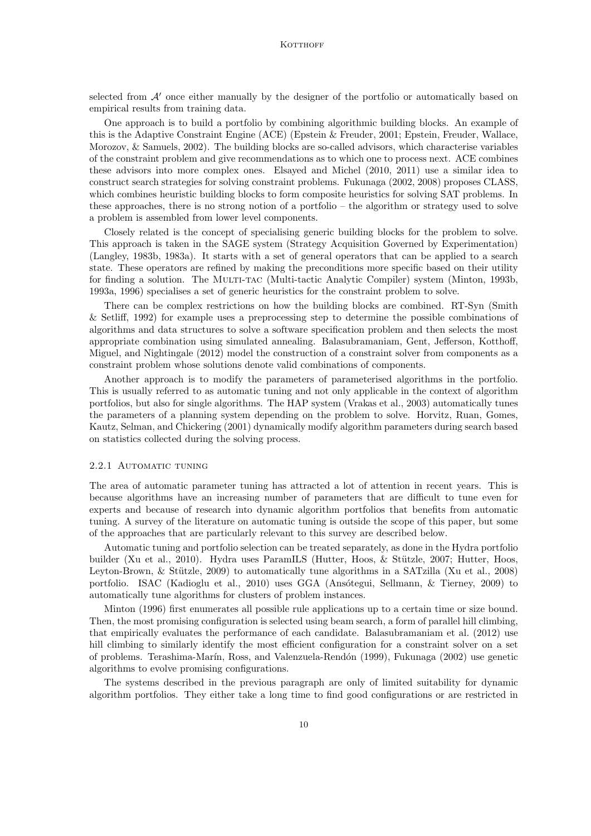selected from  $A'$  once either manually by the designer of the portfolio or automatically based on empirical results from training data.

One approach is to build a portfolio by combining algorithmic building blocks. An example of this is the Adaptive Constraint Engine (ACE) (Epstein & Freuder, 2001; Epstein, Freuder, Wallace, Morozov, & Samuels, 2002). The building blocks are so-called advisors, which characterise variables of the constraint problem and give recommendations as to which one to process next. ACE combines these advisors into more complex ones. Elsayed and Michel (2010, 2011) use a similar idea to construct search strategies for solving constraint problems. Fukunaga (2002, 2008) proposes CLASS, which combines heuristic building blocks to form composite heuristics for solving SAT problems. In these approaches, there is no strong notion of a portfolio – the algorithm or strategy used to solve a problem is assembled from lower level components.

Closely related is the concept of specialising generic building blocks for the problem to solve. This approach is taken in the SAGE system (Strategy Acquisition Governed by Experimentation) (Langley, 1983b, 1983a). It starts with a set of general operators that can be applied to a search state. These operators are refined by making the preconditions more specific based on their utility for finding a solution. The MULTI-TAC (Multi-tactic Analytic Compiler) system (Minton, 1993b, 1993a, 1996) specialises a set of generic heuristics for the constraint problem to solve.

There can be complex restrictions on how the building blocks are combined. RT-Syn (Smith & Setliff, 1992) for example uses a preprocessing step to determine the possible combinations of algorithms and data structures to solve a software specification problem and then selects the most appropriate combination using simulated annealing. Balasubramaniam, Gent, Jefferson, Kotthoff, Miguel, and Nightingale (2012) model the construction of a constraint solver from components as a constraint problem whose solutions denote valid combinations of components.

Another approach is to modify the parameters of parameterised algorithms in the portfolio. This is usually referred to as automatic tuning and not only applicable in the context of algorithm portfolios, but also for single algorithms. The HAP system (Vrakas et al., 2003) automatically tunes the parameters of a planning system depending on the problem to solve. Horvitz, Ruan, Gomes, Kautz, Selman, and Chickering (2001) dynamically modify algorithm parameters during search based on statistics collected during the solving process.

# 2.2.1 AUTOMATIC TUNING

The area of automatic parameter tuning has attracted a lot of attention in recent years. This is because algorithms have an increasing number of parameters that are difficult to tune even for experts and because of research into dynamic algorithm portfolios that benefits from automatic tuning. A survey of the literature on automatic tuning is outside the scope of this paper, but some of the approaches that are particularly relevant to this survey are described below.

Automatic tuning and portfolio selection can be treated separately, as done in the Hydra portfolio builder (Xu et al., 2010). Hydra uses ParamILS (Hutter, Hoos, & Stützle, 2007; Hutter, Hoos, Leyton-Brown,  $&$  Stützle, 2009) to automatically tune algorithms in a SATzilla (Xu et al., 2008) portfolio. ISAC (Kadioglu et al., 2010) uses GGA (Ansótegui, Sellmann, & Tierney, 2009) to automatically tune algorithms for clusters of problem instances.

Minton (1996) first enumerates all possible rule applications up to a certain time or size bound. Then, the most promising configuration is selected using beam search, a form of parallel hill climbing, that empirically evaluates the performance of each candidate. Balasubramaniam et al. (2012) use hill climbing to similarly identify the most efficient configuration for a constraint solver on a set of problems. Terashima-Marín, Ross, and Valenzuela-Rendón (1999), Fukunaga (2002) use genetic algorithms to evolve promising configurations.

The systems described in the previous paragraph are only of limited suitability for dynamic algorithm portfolios. They either take a long time to find good configurations or are restricted in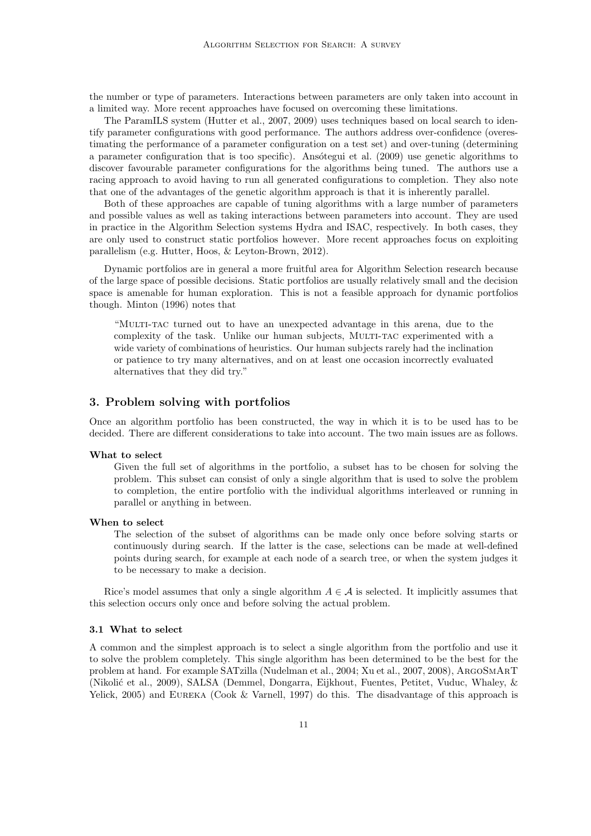the number or type of parameters. Interactions between parameters are only taken into account in a limited way. More recent approaches have focused on overcoming these limitations.

The ParamILS system (Hutter et al., 2007, 2009) uses techniques based on local search to identify parameter configurations with good performance. The authors address over-confidence (overestimating the performance of a parameter configuration on a test set) and over-tuning (determining a parameter configuration that is too specific). Ansotegui et al. (2009) use genetic algorithms to discover favourable parameter configurations for the algorithms being tuned. The authors use a racing approach to avoid having to run all generated configurations to completion. They also note that one of the advantages of the genetic algorithm approach is that it is inherently parallel.

Both of these approaches are capable of tuning algorithms with a large number of parameters and possible values as well as taking interactions between parameters into account. They are used in practice in the Algorithm Selection systems Hydra and ISAC, respectively. In both cases, they are only used to construct static portfolios however. More recent approaches focus on exploiting parallelism (e.g. Hutter, Hoos, & Leyton-Brown, 2012).

Dynamic portfolios are in general a more fruitful area for Algorithm Selection research because of the large space of possible decisions. Static portfolios are usually relatively small and the decision space is amenable for human exploration. This is not a feasible approach for dynamic portfolios though. Minton (1996) notes that

"Multi-tac turned out to have an unexpected advantage in this arena, due to the complexity of the task. Unlike our human subjects, MULTI-TAC experimented with a wide variety of combinations of heuristics. Our human subjects rarely had the inclination or patience to try many alternatives, and on at least one occasion incorrectly evaluated alternatives that they did try."

# **3. Problem solving with portfolios**

Once an algorithm portfolio has been constructed, the way in which it is to be used has to be decided. There are different considerations to take into account. The two main issues are as follows.

### **What to select**

Given the full set of algorithms in the portfolio, a subset has to be chosen for solving the problem. This subset can consist of only a single algorithm that is used to solve the problem to completion, the entire portfolio with the individual algorithms interleaved or running in parallel or anything in between.

# **When to select**

The selection of the subset of algorithms can be made only once before solving starts or continuously during search. If the latter is the case, selections can be made at well-defined points during search, for example at each node of a search tree, or when the system judges it to be necessary to make a decision.

Rice's model assumes that only a single algorithm  $A \in \mathcal{A}$  is selected. It implicitly assumes that this selection occurs only once and before solving the actual problem.

### **3.1 What to select**

A common and the simplest approach is to select a single algorithm from the portfolio and use it to solve the problem completely. This single algorithm has been determined to be the best for the problem at hand. For example SATzilla (Nudelman et al., 2004; Xu et al., 2007, 2008), ArgoSmArT (Nikolić et al., 2009), SALSA (Demmel, Dongarra, Eijkhout, Fuentes, Petitet, Vuduc, Whaley, & Yelick, 2005) and EUREKA (Cook & Varnell, 1997) do this. The disadvantage of this approach is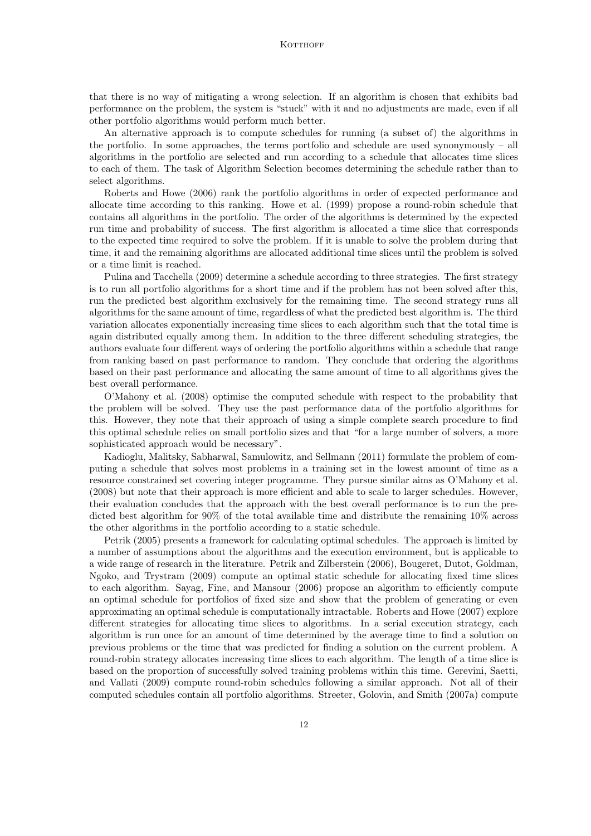that there is no way of mitigating a wrong selection. If an algorithm is chosen that exhibits bad performance on the problem, the system is "stuck" with it and no adjustments are made, even if all other portfolio algorithms would perform much better.

An alternative approach is to compute schedules for running (a subset of) the algorithms in the portfolio. In some approaches, the terms portfolio and schedule are used synonymously – all algorithms in the portfolio are selected and run according to a schedule that allocates time slices to each of them. The task of Algorithm Selection becomes determining the schedule rather than to select algorithms.

Roberts and Howe (2006) rank the portfolio algorithms in order of expected performance and allocate time according to this ranking. Howe et al. (1999) propose a round-robin schedule that contains all algorithms in the portfolio. The order of the algorithms is determined by the expected run time and probability of success. The first algorithm is allocated a time slice that corresponds to the expected time required to solve the problem. If it is unable to solve the problem during that time, it and the remaining algorithms are allocated additional time slices until the problem is solved or a time limit is reached.

Pulina and Tacchella (2009) determine a schedule according to three strategies. The first strategy is to run all portfolio algorithms for a short time and if the problem has not been solved after this, run the predicted best algorithm exclusively for the remaining time. The second strategy runs all algorithms for the same amount of time, regardless of what the predicted best algorithm is. The third variation allocates exponentially increasing time slices to each algorithm such that the total time is again distributed equally among them. In addition to the three different scheduling strategies, the authors evaluate four different ways of ordering the portfolio algorithms within a schedule that range from ranking based on past performance to random. They conclude that ordering the algorithms based on their past performance and allocating the same amount of time to all algorithms gives the best overall performance.

O'Mahony et al. (2008) optimise the computed schedule with respect to the probability that the problem will be solved. They use the past performance data of the portfolio algorithms for this. However, they note that their approach of using a simple complete search procedure to find this optimal schedule relies on small portfolio sizes and that "for a large number of solvers, a more sophisticated approach would be necessary".

Kadioglu, Malitsky, Sabharwal, Samulowitz, and Sellmann (2011) formulate the problem of computing a schedule that solves most problems in a training set in the lowest amount of time as a resource constrained set covering integer programme. They pursue similar aims as O'Mahony et al. (2008) but note that their approach is more efficient and able to scale to larger schedules. However, their evaluation concludes that the approach with the best overall performance is to run the predicted best algorithm for 90% of the total available time and distribute the remaining 10% across the other algorithms in the portfolio according to a static schedule.

Petrik (2005) presents a framework for calculating optimal schedules. The approach is limited by a number of assumptions about the algorithms and the execution environment, but is applicable to a wide range of research in the literature. Petrik and Zilberstein (2006), Bougeret, Dutot, Goldman, Ngoko, and Trystram (2009) compute an optimal static schedule for allocating fixed time slices to each algorithm. Sayag, Fine, and Mansour (2006) propose an algorithm to efficiently compute an optimal schedule for portfolios of fixed size and show that the problem of generating or even approximating an optimal schedule is computationally intractable. Roberts and Howe (2007) explore different strategies for allocating time slices to algorithms. In a serial execution strategy, each algorithm is run once for an amount of time determined by the average time to find a solution on previous problems or the time that was predicted for finding a solution on the current problem. A round-robin strategy allocates increasing time slices to each algorithm. The length of a time slice is based on the proportion of successfully solved training problems within this time. Gerevini, Saetti, and Vallati (2009) compute round-robin schedules following a similar approach. Not all of their computed schedules contain all portfolio algorithms. Streeter, Golovin, and Smith (2007a) compute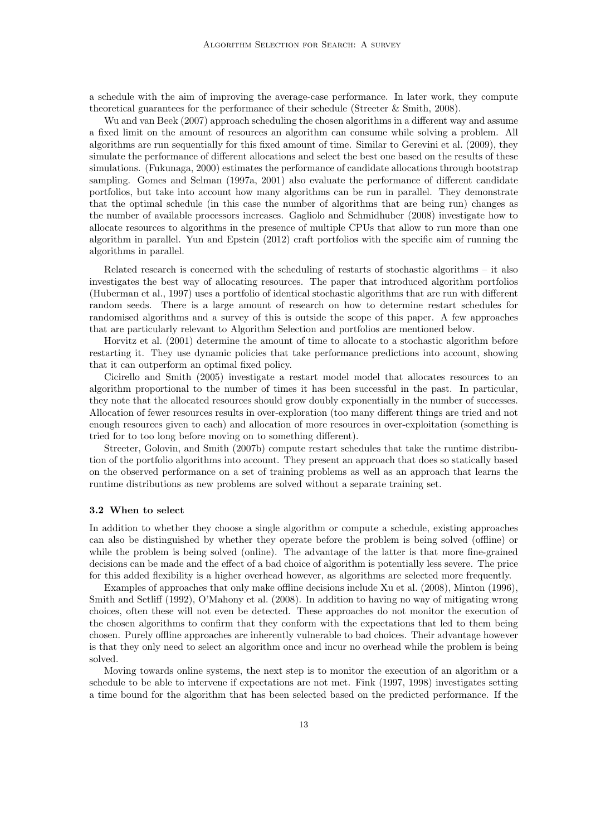a schedule with the aim of improving the average-case performance. In later work, they compute theoretical guarantees for the performance of their schedule (Streeter & Smith, 2008).

Wu and van Beek (2007) approach scheduling the chosen algorithms in a different way and assume a fixed limit on the amount of resources an algorithm can consume while solving a problem. All algorithms are run sequentially for this fixed amount of time. Similar to Gerevini et al. (2009), they simulate the performance of different allocations and select the best one based on the results of these simulations. (Fukunaga, 2000) estimates the performance of candidate allocations through bootstrap sampling. Gomes and Selman (1997a, 2001) also evaluate the performance of different candidate portfolios, but take into account how many algorithms can be run in parallel. They demonstrate that the optimal schedule (in this case the number of algorithms that are being run) changes as the number of available processors increases. Gagliolo and Schmidhuber (2008) investigate how to allocate resources to algorithms in the presence of multiple CPUs that allow to run more than one algorithm in parallel. Yun and Epstein (2012) craft portfolios with the specific aim of running the algorithms in parallel.

Related research is concerned with the scheduling of restarts of stochastic algorithms – it also investigates the best way of allocating resources. The paper that introduced algorithm portfolios (Huberman et al., 1997) uses a portfolio of identical stochastic algorithms that are run with different random seeds. There is a large amount of research on how to determine restart schedules for randomised algorithms and a survey of this is outside the scope of this paper. A few approaches that are particularly relevant to Algorithm Selection and portfolios are mentioned below.

Horvitz et al. (2001) determine the amount of time to allocate to a stochastic algorithm before restarting it. They use dynamic policies that take performance predictions into account, showing that it can outperform an optimal fixed policy.

Cicirello and Smith (2005) investigate a restart model model that allocates resources to an algorithm proportional to the number of times it has been successful in the past. In particular, they note that the allocated resources should grow doubly exponentially in the number of successes. Allocation of fewer resources results in over-exploration (too many different things are tried and not enough resources given to each) and allocation of more resources in over-exploitation (something is tried for to too long before moving on to something different).

Streeter, Golovin, and Smith (2007b) compute restart schedules that take the runtime distribution of the portfolio algorithms into account. They present an approach that does so statically based on the observed performance on a set of training problems as well as an approach that learns the runtime distributions as new problems are solved without a separate training set.

### **3.2 When to select**

In addition to whether they choose a single algorithm or compute a schedule, existing approaches can also be distinguished by whether they operate before the problem is being solved (offline) or while the problem is being solved (online). The advantage of the latter is that more fine-grained decisions can be made and the effect of a bad choice of algorithm is potentially less severe. The price for this added flexibility is a higher overhead however, as algorithms are selected more frequently.

Examples of approaches that only make offline decisions include Xu et al. (2008), Minton (1996), Smith and Setliff (1992), O'Mahony et al. (2008). In addition to having no way of mitigating wrong choices, often these will not even be detected. These approaches do not monitor the execution of the chosen algorithms to confirm that they conform with the expectations that led to them being chosen. Purely offline approaches are inherently vulnerable to bad choices. Their advantage however is that they only need to select an algorithm once and incur no overhead while the problem is being solved.

Moving towards online systems, the next step is to monitor the execution of an algorithm or a schedule to be able to intervene if expectations are not met. Fink (1997, 1998) investigates setting a time bound for the algorithm that has been selected based on the predicted performance. If the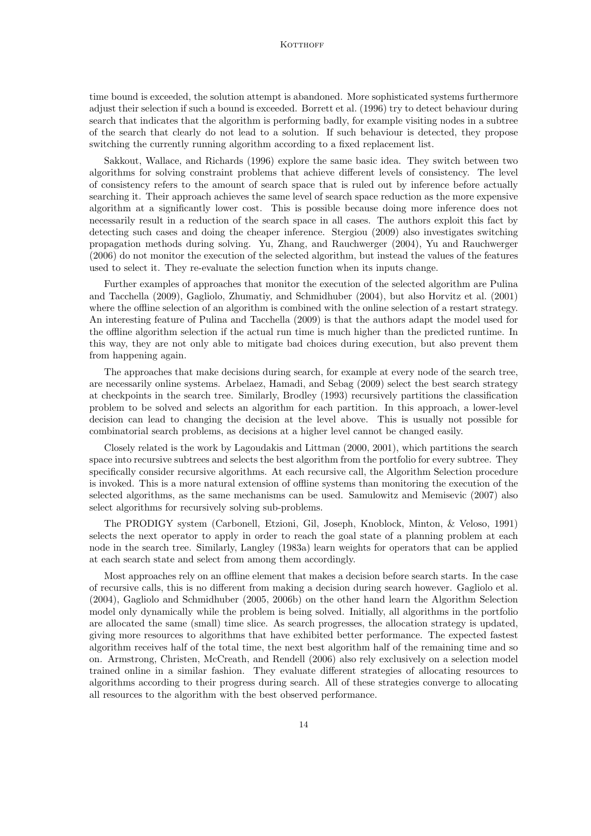time bound is exceeded, the solution attempt is abandoned. More sophisticated systems furthermore adjust their selection if such a bound is exceeded. Borrett et al. (1996) try to detect behaviour during search that indicates that the algorithm is performing badly, for example visiting nodes in a subtree of the search that clearly do not lead to a solution. If such behaviour is detected, they propose switching the currently running algorithm according to a fixed replacement list.

Sakkout, Wallace, and Richards (1996) explore the same basic idea. They switch between two algorithms for solving constraint problems that achieve different levels of consistency. The level of consistency refers to the amount of search space that is ruled out by inference before actually searching it. Their approach achieves the same level of search space reduction as the more expensive algorithm at a significantly lower cost. This is possible because doing more inference does not necessarily result in a reduction of the search space in all cases. The authors exploit this fact by detecting such cases and doing the cheaper inference. Stergiou (2009) also investigates switching propagation methods during solving. Yu, Zhang, and Rauchwerger (2004), Yu and Rauchwerger (2006) do not monitor the execution of the selected algorithm, but instead the values of the features used to select it. They re-evaluate the selection function when its inputs change.

Further examples of approaches that monitor the execution of the selected algorithm are Pulina and Tacchella (2009), Gagliolo, Zhumatiy, and Schmidhuber (2004), but also Horvitz et al. (2001) where the offline selection of an algorithm is combined with the online selection of a restart strategy. An interesting feature of Pulina and Tacchella (2009) is that the authors adapt the model used for the offline algorithm selection if the actual run time is much higher than the predicted runtime. In this way, they are not only able to mitigate bad choices during execution, but also prevent them from happening again.

The approaches that make decisions during search, for example at every node of the search tree, are necessarily online systems. Arbelaez, Hamadi, and Sebag (2009) select the best search strategy at checkpoints in the search tree. Similarly, Brodley (1993) recursively partitions the classification problem to be solved and selects an algorithm for each partition. In this approach, a lower-level decision can lead to changing the decision at the level above. This is usually not possible for combinatorial search problems, as decisions at a higher level cannot be changed easily.

Closely related is the work by Lagoudakis and Littman (2000, 2001), which partitions the search space into recursive subtrees and selects the best algorithm from the portfolio for every subtree. They specifically consider recursive algorithms. At each recursive call, the Algorithm Selection procedure is invoked. This is a more natural extension of offline systems than monitoring the execution of the selected algorithms, as the same mechanisms can be used. Samulowitz and Memisevic (2007) also select algorithms for recursively solving sub-problems.

The PRODIGY system (Carbonell, Etzioni, Gil, Joseph, Knoblock, Minton, & Veloso, 1991) selects the next operator to apply in order to reach the goal state of a planning problem at each node in the search tree. Similarly, Langley (1983a) learn weights for operators that can be applied at each search state and select from among them accordingly.

Most approaches rely on an offline element that makes a decision before search starts. In the case of recursive calls, this is no different from making a decision during search however. Gagliolo et al. (2004), Gagliolo and Schmidhuber (2005, 2006b) on the other hand learn the Algorithm Selection model only dynamically while the problem is being solved. Initially, all algorithms in the portfolio are allocated the same (small) time slice. As search progresses, the allocation strategy is updated, giving more resources to algorithms that have exhibited better performance. The expected fastest algorithm receives half of the total time, the next best algorithm half of the remaining time and so on. Armstrong, Christen, McCreath, and Rendell (2006) also rely exclusively on a selection model trained online in a similar fashion. They evaluate different strategies of allocating resources to algorithms according to their progress during search. All of these strategies converge to allocating all resources to the algorithm with the best observed performance.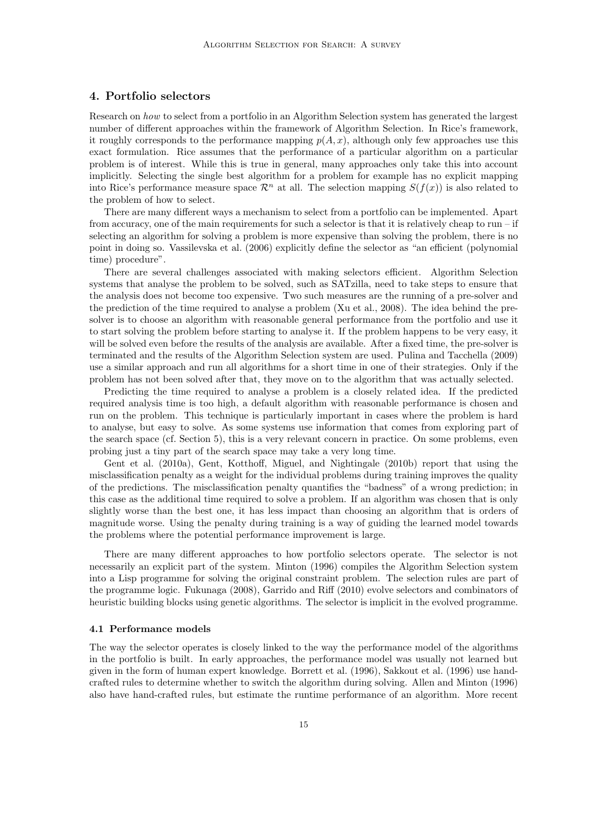# **4. Portfolio selectors**

Research on *how* to select from a portfolio in an Algorithm Selection system has generated the largest number of different approaches within the framework of Algorithm Selection. In Rice's framework, it roughly corresponds to the performance mapping  $p(A, x)$ , although only few approaches use this exact formulation. Rice assumes that the performance of a particular algorithm on a particular problem is of interest. While this is true in general, many approaches only take this into account implicitly. Selecting the single best algorithm for a problem for example has no explicit mapping into Rice's performance measure space  $\mathcal{R}^n$  at all. The selection mapping  $S(f(x))$  is also related to the problem of how to select.

There are many different ways a mechanism to select from a portfolio can be implemented. Apart from accuracy, one of the main requirements for such a selector is that it is relatively cheap to run – if selecting an algorithm for solving a problem is more expensive than solving the problem, there is no point in doing so. Vassilevska et al. (2006) explicitly define the selector as "an efficient (polynomial time) procedure".

There are several challenges associated with making selectors efficient. Algorithm Selection systems that analyse the problem to be solved, such as SATzilla, need to take steps to ensure that the analysis does not become too expensive. Two such measures are the running of a pre-solver and the prediction of the time required to analyse a problem (Xu et al., 2008). The idea behind the presolver is to choose an algorithm with reasonable general performance from the portfolio and use it to start solving the problem before starting to analyse it. If the problem happens to be very easy, it will be solved even before the results of the analysis are available. After a fixed time, the pre-solver is terminated and the results of the Algorithm Selection system are used. Pulina and Tacchella (2009) use a similar approach and run all algorithms for a short time in one of their strategies. Only if the problem has not been solved after that, they move on to the algorithm that was actually selected.

Predicting the time required to analyse a problem is a closely related idea. If the predicted required analysis time is too high, a default algorithm with reasonable performance is chosen and run on the problem. This technique is particularly important in cases where the problem is hard to analyse, but easy to solve. As some systems use information that comes from exploring part of the search space (cf. Section 5), this is a very relevant concern in practice. On some problems, even probing just a tiny part of the search space may take a very long time.

Gent et al. (2010a), Gent, Kotthoff, Miguel, and Nightingale (2010b) report that using the misclassification penalty as a weight for the individual problems during training improves the quality of the predictions. The misclassification penalty quantifies the "badness" of a wrong prediction; in this case as the additional time required to solve a problem. If an algorithm was chosen that is only slightly worse than the best one, it has less impact than choosing an algorithm that is orders of magnitude worse. Using the penalty during training is a way of guiding the learned model towards the problems where the potential performance improvement is large.

There are many different approaches to how portfolio selectors operate. The selector is not necessarily an explicit part of the system. Minton (1996) compiles the Algorithm Selection system into a Lisp programme for solving the original constraint problem. The selection rules are part of the programme logic. Fukunaga (2008), Garrido and Riff (2010) evolve selectors and combinators of heuristic building blocks using genetic algorithms. The selector is implicit in the evolved programme.

### **4.1 Performance models**

The way the selector operates is closely linked to the way the performance model of the algorithms in the portfolio is built. In early approaches, the performance model was usually not learned but given in the form of human expert knowledge. Borrett et al. (1996), Sakkout et al. (1996) use handcrafted rules to determine whether to switch the algorithm during solving. Allen and Minton (1996) also have hand-crafted rules, but estimate the runtime performance of an algorithm. More recent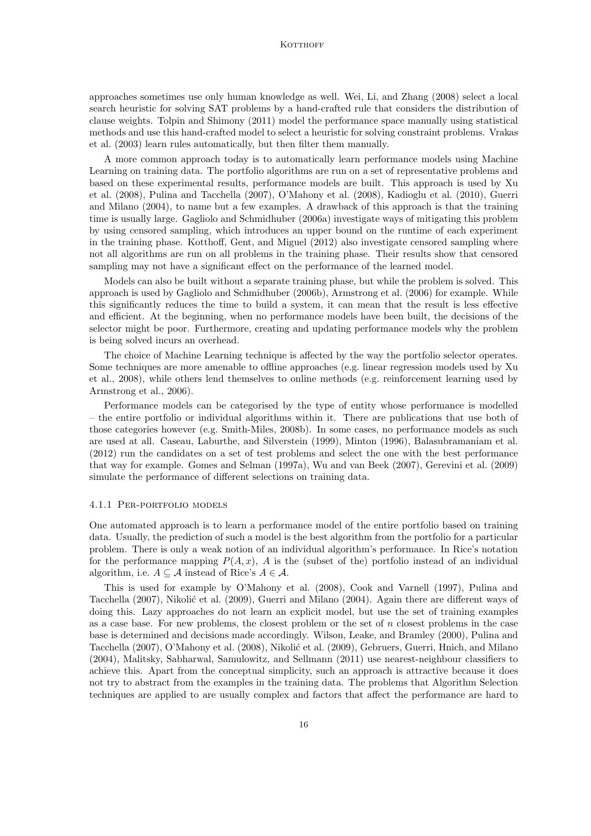approaches sometimes use only human knowledge as well. Wei, Li, and Zhang (2008) select a local search heuristic for solving SAT problems by a hand-crafted rule that considers the distribution of clause weights. Tolpin and Shimony (2011) model the performance space manually using statistical methods and use this hand-crafted model to select a heuristic for solving constraint problems. Vrakas et al. (2003) learn rules automatically, but then filter them manually.

A more common approach today is to automatically learn performance models using Machine Learning on training data. The portfolio algorithms are run on a set of representative problems and based on these experimental results, performance models are built. This approach is used by Xu et al. (2008), Pulina and Tacchella (2007), O'Mahony et al. (2008), Kadioglu et al. (2010), Guerri and Milano (2004), to name but a few examples. A drawback of this approach is that the training time is usually large. Gagliolo and Schmidhuber (2006a) investigate ways of mitigating this problem by using censored sampling, which introduces an upper bound on the runtime of each experiment in the training phase. Kotthoff, Gent, and Miguel (2012) also investigate censored sampling where not all algorithms are run on all problems in the training phase. Their results show that censored sampling may not have a significant effect on the performance of the learned model.

Models can also be built without a separate training phase, but while the problem is solved. This approach is used by Gagliolo and Schmidhuber (2006b), Armstrong et al. (2006) for example. While this significantly reduces the time to build a system, it can mean that the result is less effective and efficient. At the beginning, when no performance models have been built, the decisions of the selector might be poor. Furthermore, creating and updating performance models why the problem is being solved incurs an overhead.

The choice of Machine Learning technique is affected by the way the portfolio selector operates. Some techniques are more amenable to offline approaches (e.g. linear regression models used by Xu et al., 2008), while others lend themselves to online methods (e.g. reinforcement learning used by Armstrong et al., 2006).

Performance models can be categorised by the type of entity whose performance is modelled – the entire portfolio or individual algorithms within it. There are publications that use both of those categories however (e.g. Smith-Miles, 2008b). In some cases, no performance models as such are used at all. Caseau, Laburthe, and Silverstein (1999), Minton (1996), Balasubramaniam et al. (2012) run the candidates on a set of test problems and select the one with the best performance that way for example. Gomes and Selman (1997a), Wu and van Beek (2007), Gerevini et al. (2009) simulate the performance of different selections on training data.

### 4.1.1 Per-portfolio models

One automated approach is to learn a performance model of the entire portfolio based on training data. Usually, the prediction of such a model is the best algorithm from the portfolio for a particular problem. There is only a weak notion of an individual algorithm's performance. In Rice's notation for the performance mapping  $P(A, x)$ , *A* is the (subset of the) portfolio instead of an individual algorithm, i.e.  $A \subseteq \mathcal{A}$  instead of Rice's  $A \in \mathcal{A}$ .

This is used for example by O'Mahony et al. (2008), Cook and Varnell (1997), Pulina and Tacchella (2007), Nikolić et al. (2009), Guerri and Milano (2004). Again there are different ways of doing this. Lazy approaches do not learn an explicit model, but use the set of training examples as a case base. For new problems, the closest problem or the set of *n* closest problems in the case base is determined and decisions made accordingly. Wilson, Leake, and Bramley (2000), Pulina and Tacchella (2007), O'Mahony et al. (2008), Nikolić et al. (2009), Gebruers, Guerri, Hnich, and Milano (2004), Malitsky, Sabharwal, Samulowitz, and Sellmann (2011) use nearest-neighbour classifiers to achieve this. Apart from the conceptual simplicity, such an approach is attractive because it does not try to abstract from the examples in the training data. The problems that Algorithm Selection techniques are applied to are usually complex and factors that affect the performance are hard to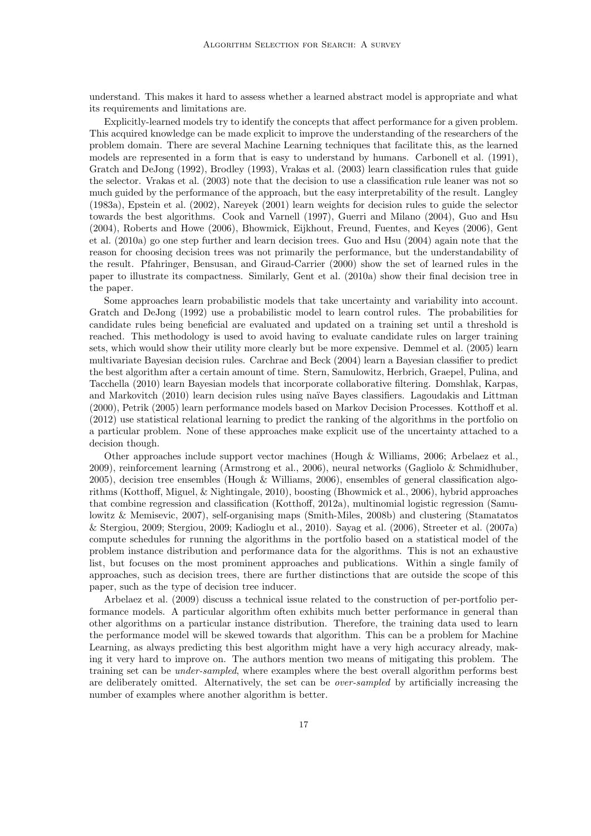understand. This makes it hard to assess whether a learned abstract model is appropriate and what its requirements and limitations are.

Explicitly-learned models try to identify the concepts that affect performance for a given problem. This acquired knowledge can be made explicit to improve the understanding of the researchers of the problem domain. There are several Machine Learning techniques that facilitate this, as the learned models are represented in a form that is easy to understand by humans. Carbonell et al. (1991), Gratch and DeJong (1992), Brodley (1993), Vrakas et al. (2003) learn classification rules that guide the selector. Vrakas et al. (2003) note that the decision to use a classification rule leaner was not so much guided by the performance of the approach, but the easy interpretability of the result. Langley (1983a), Epstein et al. (2002), Nareyek (2001) learn weights for decision rules to guide the selector towards the best algorithms. Cook and Varnell (1997), Guerri and Milano (2004), Guo and Hsu (2004), Roberts and Howe (2006), Bhowmick, Eijkhout, Freund, Fuentes, and Keyes (2006), Gent et al. (2010a) go one step further and learn decision trees. Guo and Hsu (2004) again note that the reason for choosing decision trees was not primarily the performance, but the understandability of the result. Pfahringer, Bensusan, and Giraud-Carrier (2000) show the set of learned rules in the paper to illustrate its compactness. Similarly, Gent et al. (2010a) show their final decision tree in the paper.

Some approaches learn probabilistic models that take uncertainty and variability into account. Gratch and DeJong (1992) use a probabilistic model to learn control rules. The probabilities for candidate rules being beneficial are evaluated and updated on a training set until a threshold is reached. This methodology is used to avoid having to evaluate candidate rules on larger training sets, which would show their utility more clearly but be more expensive. Demmel et al. (2005) learn multivariate Bayesian decision rules. Carchrae and Beck (2004) learn a Bayesian classifier to predict the best algorithm after a certain amount of time. Stern, Samulowitz, Herbrich, Graepel, Pulina, and Tacchella (2010) learn Bayesian models that incorporate collaborative filtering. Domshlak, Karpas, and Markovitch (2010) learn decision rules using na¨ıve Bayes classifiers. Lagoudakis and Littman (2000), Petrik (2005) learn performance models based on Markov Decision Processes. Kotthoff et al. (2012) use statistical relational learning to predict the ranking of the algorithms in the portfolio on a particular problem. None of these approaches make explicit use of the uncertainty attached to a decision though.

Other approaches include support vector machines (Hough & Williams, 2006; Arbelaez et al., 2009), reinforcement learning (Armstrong et al., 2006), neural networks (Gagliolo & Schmidhuber, 2005), decision tree ensembles (Hough & Williams, 2006), ensembles of general classification algorithms (Kotthoff, Miguel, & Nightingale, 2010), boosting (Bhowmick et al., 2006), hybrid approaches that combine regression and classification (Kotthoff, 2012a), multinomial logistic regression (Samulowitz & Memisevic, 2007), self-organising maps (Smith-Miles, 2008b) and clustering (Stamatatos & Stergiou, 2009; Stergiou, 2009; Kadioglu et al., 2010). Sayag et al. (2006), Streeter et al. (2007a) compute schedules for running the algorithms in the portfolio based on a statistical model of the problem instance distribution and performance data for the algorithms. This is not an exhaustive list, but focuses on the most prominent approaches and publications. Within a single family of approaches, such as decision trees, there are further distinctions that are outside the scope of this paper, such as the type of decision tree inducer.

Arbelaez et al. (2009) discuss a technical issue related to the construction of per-portfolio performance models. A particular algorithm often exhibits much better performance in general than other algorithms on a particular instance distribution. Therefore, the training data used to learn the performance model will be skewed towards that algorithm. This can be a problem for Machine Learning, as always predicting this best algorithm might have a very high accuracy already, making it very hard to improve on. The authors mention two means of mitigating this problem. The training set can be *under-sampled*, where examples where the best overall algorithm performs best are deliberately omitted. Alternatively, the set can be *over-sampled* by artificially increasing the number of examples where another algorithm is better.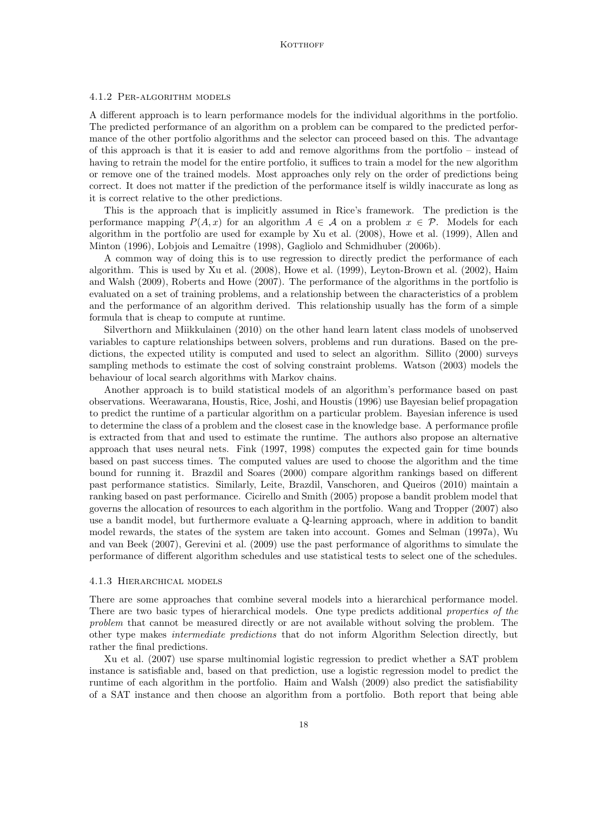#### 4.1.2 Per-algorithm models

A different approach is to learn performance models for the individual algorithms in the portfolio. The predicted performance of an algorithm on a problem can be compared to the predicted performance of the other portfolio algorithms and the selector can proceed based on this. The advantage of this approach is that it is easier to add and remove algorithms from the portfolio – instead of having to retrain the model for the entire portfolio, it suffices to train a model for the new algorithm or remove one of the trained models. Most approaches only rely on the order of predictions being correct. It does not matter if the prediction of the performance itself is wildly inaccurate as long as it is correct relative to the other predictions.

This is the approach that is implicitly assumed in Rice's framework. The prediction is the performance mapping  $P(A, x)$  for an algorithm  $A \in \mathcal{A}$  on a problem  $x \in \mathcal{P}$ . Models for each algorithm in the portfolio are used for example by Xu et al. (2008), Howe et al. (1999), Allen and Minton (1996), Lobjois and Lemaître (1998), Gagliolo and Schmidhuber (2006b).

A common way of doing this is to use regression to directly predict the performance of each algorithm. This is used by Xu et al. (2008), Howe et al. (1999), Leyton-Brown et al. (2002), Haim and Walsh (2009), Roberts and Howe (2007). The performance of the algorithms in the portfolio is evaluated on a set of training problems, and a relationship between the characteristics of a problem and the performance of an algorithm derived. This relationship usually has the form of a simple formula that is cheap to compute at runtime.

Silverthorn and Miikkulainen (2010) on the other hand learn latent class models of unobserved variables to capture relationships between solvers, problems and run durations. Based on the predictions, the expected utility is computed and used to select an algorithm. Sillito (2000) surveys sampling methods to estimate the cost of solving constraint problems. Watson (2003) models the behaviour of local search algorithms with Markov chains.

Another approach is to build statistical models of an algorithm's performance based on past observations. Weerawarana, Houstis, Rice, Joshi, and Houstis (1996) use Bayesian belief propagation to predict the runtime of a particular algorithm on a particular problem. Bayesian inference is used to determine the class of a problem and the closest case in the knowledge base. A performance profile is extracted from that and used to estimate the runtime. The authors also propose an alternative approach that uses neural nets. Fink (1997, 1998) computes the expected gain for time bounds based on past success times. The computed values are used to choose the algorithm and the time bound for running it. Brazdil and Soares (2000) compare algorithm rankings based on different past performance statistics. Similarly, Leite, Brazdil, Vanschoren, and Queiros (2010) maintain a ranking based on past performance. Cicirello and Smith (2005) propose a bandit problem model that governs the allocation of resources to each algorithm in the portfolio. Wang and Tropper (2007) also use a bandit model, but furthermore evaluate a Q-learning approach, where in addition to bandit model rewards, the states of the system are taken into account. Gomes and Selman (1997a), Wu and van Beek (2007), Gerevini et al. (2009) use the past performance of algorithms to simulate the performance of different algorithm schedules and use statistical tests to select one of the schedules.

### 4.1.3 Hierarchical models

There are some approaches that combine several models into a hierarchical performance model. There are two basic types of hierarchical models. One type predicts additional *properties of the problem* that cannot be measured directly or are not available without solving the problem. The other type makes *intermediate predictions* that do not inform Algorithm Selection directly, but rather the final predictions.

Xu et al. (2007) use sparse multinomial logistic regression to predict whether a SAT problem instance is satisfiable and, based on that prediction, use a logistic regression model to predict the runtime of each algorithm in the portfolio. Haim and Walsh (2009) also predict the satisfiability of a SAT instance and then choose an algorithm from a portfolio. Both report that being able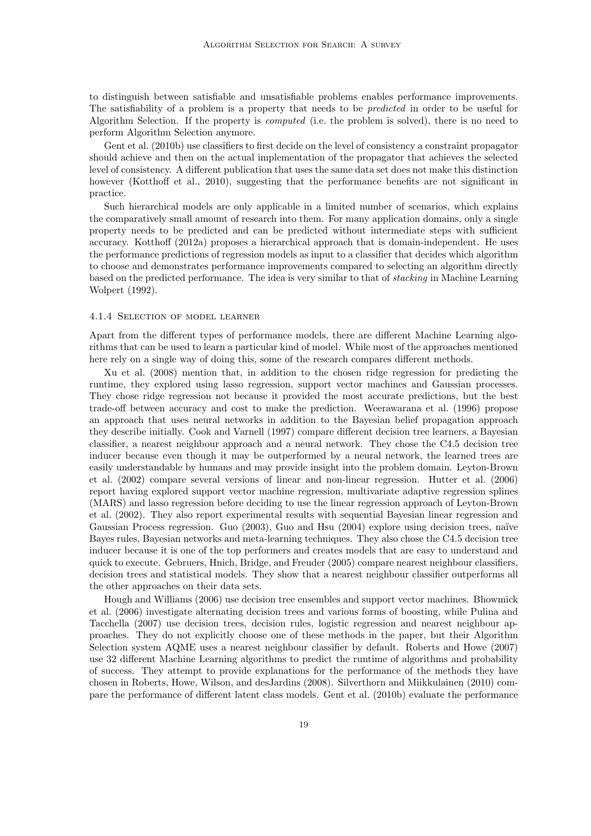to distinguish between satisfiable and unsatisfiable problems enables performance improvements. The satisfiability of a problem is a property that needs to be *predicted* in order to be useful for Algorithm Selection. If the property is *computed* (i.e. the problem is solved), there is no need to perform Algorithm Selection anymore.

Gent et al. (2010b) use classifiers to first decide on the level of consistency a constraint propagator should achieve and then on the actual implementation of the propagator that achieves the selected level of consistency. A different publication that uses the same data set does not make this distinction however (Kotthoff et al., 2010), suggesting that the performance benefits are not significant in practice.

Such hierarchical models are only applicable in a limited number of scenarios, which explains the comparatively small amount of research into them. For many application domains, only a single property needs to be predicted and can be predicted without intermediate steps with sufficient accuracy. Kotthoff (2012a) proposes a hierarchical approach that is domain-independent. He uses the performance predictions of regression models as input to a classifier that decides which algorithm to choose and demonstrates performance improvements compared to selecting an algorithm directly based on the predicted performance. The idea is very similar to that of *stacking* in Machine Learning Wolpert (1992).

### 4.1.4 Selection of model learner

Apart from the different types of performance models, there are different Machine Learning algorithms that can be used to learn a particular kind of model. While most of the approaches mentioned here rely on a single way of doing this, some of the research compares different methods.

Xu et al. (2008) mention that, in addition to the chosen ridge regression for predicting the runtime, they explored using lasso regression, support vector machines and Gaussian processes. They chose ridge regression not because it provided the most accurate predictions, but the best trade-off between accuracy and cost to make the prediction. Weerawarana et al. (1996) propose an approach that uses neural networks in addition to the Bayesian belief propagation approach they describe initially. Cook and Varnell (1997) compare different decision tree learners, a Bayesian classifier, a nearest neighbour approach and a neural network. They chose the C4.5 decision tree inducer because even though it may be outperformed by a neural network, the learned trees are easily understandable by humans and may provide insight into the problem domain. Leyton-Brown et al. (2002) compare several versions of linear and non-linear regression. Hutter et al. (2006) report having explored support vector machine regression, multivariate adaptive regression splines (MARS) and lasso regression before deciding to use the linear regression approach of Leyton-Brown et al. (2002). They also report experimental results with sequential Bayesian linear regression and Gaussian Process regression. Guo (2003), Guo and Hsu (2004) explore using decision trees, naïve Bayes rules, Bayesian networks and meta-learning techniques. They also chose the C4.5 decision tree inducer because it is one of the top performers and creates models that are easy to understand and quick to execute. Gebruers, Hnich, Bridge, and Freuder (2005) compare nearest neighbour classifiers, decision trees and statistical models. They show that a nearest neighbour classifier outperforms all the other approaches on their data sets.

Hough and Williams (2006) use decision tree ensembles and support vector machines. Bhowmick et al. (2006) investigate alternating decision trees and various forms of boosting, while Pulina and Tacchella (2007) use decision trees, decision rules, logistic regression and nearest neighbour approaches. They do not explicitly choose one of these methods in the paper, but their Algorithm Selection system AQME uses a nearest neighbour classifier by default. Roberts and Howe (2007) use 32 different Machine Learning algorithms to predict the runtime of algorithms and probability of success. They attempt to provide explanations for the performance of the methods they have chosen in Roberts, Howe, Wilson, and desJardins (2008). Silverthorn and Miikkulainen (2010) compare the performance of different latent class models. Gent et al. (2010b) evaluate the performance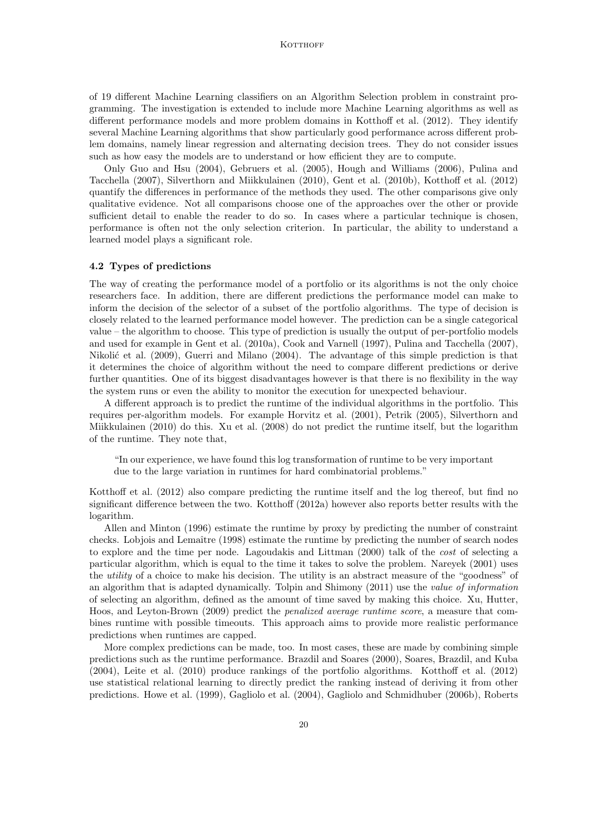of 19 different Machine Learning classifiers on an Algorithm Selection problem in constraint programming. The investigation is extended to include more Machine Learning algorithms as well as different performance models and more problem domains in Kotthoff et al. (2012). They identify several Machine Learning algorithms that show particularly good performance across different problem domains, namely linear regression and alternating decision trees. They do not consider issues such as how easy the models are to understand or how efficient they are to compute.

Only Guo and Hsu (2004), Gebruers et al. (2005), Hough and Williams (2006), Pulina and Tacchella (2007), Silverthorn and Miikkulainen (2010), Gent et al. (2010b), Kotthoff et al. (2012) quantify the differences in performance of the methods they used. The other comparisons give only qualitative evidence. Not all comparisons choose one of the approaches over the other or provide sufficient detail to enable the reader to do so. In cases where a particular technique is chosen, performance is often not the only selection criterion. In particular, the ability to understand a learned model plays a significant role.

# **4.2 Types of predictions**

The way of creating the performance model of a portfolio or its algorithms is not the only choice researchers face. In addition, there are different predictions the performance model can make to inform the decision of the selector of a subset of the portfolio algorithms. The type of decision is closely related to the learned performance model however. The prediction can be a single categorical value – the algorithm to choose. This type of prediction is usually the output of per-portfolio models and used for example in Gent et al. (2010a), Cook and Varnell (1997), Pulina and Tacchella (2007), Nikolić et al. (2009), Guerri and Milano (2004). The advantage of this simple prediction is that it determines the choice of algorithm without the need to compare different predictions or derive further quantities. One of its biggest disadvantages however is that there is no flexibility in the way the system runs or even the ability to monitor the execution for unexpected behaviour.

A different approach is to predict the runtime of the individual algorithms in the portfolio. This requires per-algorithm models. For example Horvitz et al. (2001), Petrik (2005), Silverthorn and Miikkulainen (2010) do this. Xu et al. (2008) do not predict the runtime itself, but the logarithm of the runtime. They note that,

"In our experience, we have found this log transformation of runtime to be very important due to the large variation in runtimes for hard combinatorial problems."

Kotthoff et al. (2012) also compare predicting the runtime itself and the log thereof, but find no significant difference between the two. Kotthoff (2012a) however also reports better results with the logarithm.

Allen and Minton (1996) estimate the runtime by proxy by predicting the number of constraint checks. Lobjois and Lemaître (1998) estimate the runtime by predicting the number of search nodes to explore and the time per node. Lagoudakis and Littman (2000) talk of the *cost* of selecting a particular algorithm, which is equal to the time it takes to solve the problem. Nareyek (2001) uses the *utility* of a choice to make his decision. The utility is an abstract measure of the "goodness" of an algorithm that is adapted dynamically. Tolpin and Shimony (2011) use the *value of information* of selecting an algorithm, defined as the amount of time saved by making this choice. Xu, Hutter, Hoos, and Leyton-Brown (2009) predict the *penalized average runtime score*, a measure that combines runtime with possible timeouts. This approach aims to provide more realistic performance predictions when runtimes are capped.

More complex predictions can be made, too. In most cases, these are made by combining simple predictions such as the runtime performance. Brazdil and Soares (2000), Soares, Brazdil, and Kuba (2004), Leite et al. (2010) produce rankings of the portfolio algorithms. Kotthoff et al. (2012) use statistical relational learning to directly predict the ranking instead of deriving it from other predictions. Howe et al. (1999), Gagliolo et al. (2004), Gagliolo and Schmidhuber (2006b), Roberts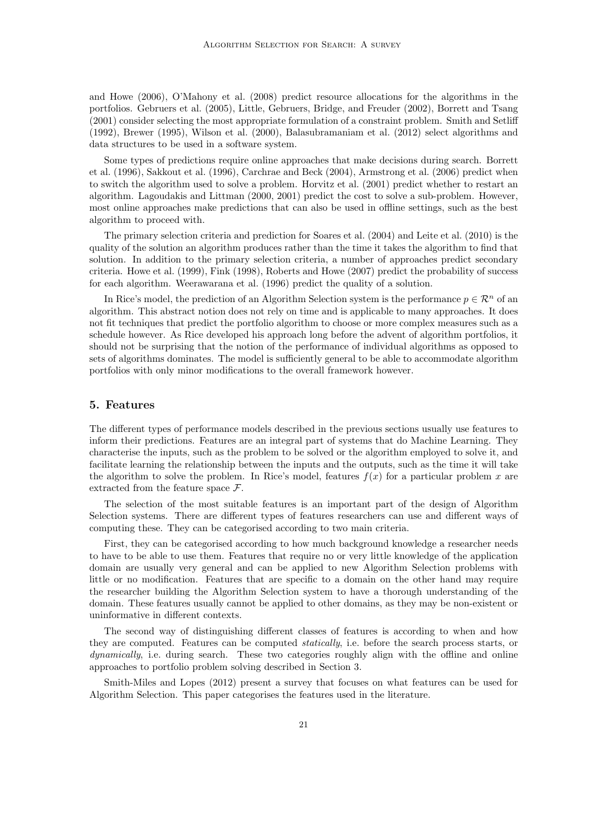and Howe (2006), O'Mahony et al. (2008) predict resource allocations for the algorithms in the portfolios. Gebruers et al. (2005), Little, Gebruers, Bridge, and Freuder (2002), Borrett and Tsang (2001) consider selecting the most appropriate formulation of a constraint problem. Smith and Setliff (1992), Brewer (1995), Wilson et al. (2000), Balasubramaniam et al. (2012) select algorithms and data structures to be used in a software system.

Some types of predictions require online approaches that make decisions during search. Borrett et al. (1996), Sakkout et al. (1996), Carchrae and Beck (2004), Armstrong et al. (2006) predict when to switch the algorithm used to solve a problem. Horvitz et al. (2001) predict whether to restart an algorithm. Lagoudakis and Littman (2000, 2001) predict the cost to solve a sub-problem. However, most online approaches make predictions that can also be used in offline settings, such as the best algorithm to proceed with.

The primary selection criteria and prediction for Soares et al. (2004) and Leite et al. (2010) is the quality of the solution an algorithm produces rather than the time it takes the algorithm to find that solution. In addition to the primary selection criteria, a number of approaches predict secondary criteria. Howe et al. (1999), Fink (1998), Roberts and Howe (2007) predict the probability of success for each algorithm. Weerawarana et al. (1996) predict the quality of a solution.

In Rice's model, the prediction of an Algorithm Selection system is the performance  $p \in \mathbb{R}^n$  of an algorithm. This abstract notion does not rely on time and is applicable to many approaches. It does not fit techniques that predict the portfolio algorithm to choose or more complex measures such as a schedule however. As Rice developed his approach long before the advent of algorithm portfolios, it should not be surprising that the notion of the performance of individual algorithms as opposed to sets of algorithms dominates. The model is sufficiently general to be able to accommodate algorithm portfolios with only minor modifications to the overall framework however.

# **5. Features**

The different types of performance models described in the previous sections usually use features to inform their predictions. Features are an integral part of systems that do Machine Learning. They characterise the inputs, such as the problem to be solved or the algorithm employed to solve it, and facilitate learning the relationship between the inputs and the outputs, such as the time it will take the algorithm to solve the problem. In Rice's model, features  $f(x)$  for a particular problem x are extracted from the feature space *F*.

The selection of the most suitable features is an important part of the design of Algorithm Selection systems. There are different types of features researchers can use and different ways of computing these. They can be categorised according to two main criteria.

First, they can be categorised according to how much background knowledge a researcher needs to have to be able to use them. Features that require no or very little knowledge of the application domain are usually very general and can be applied to new Algorithm Selection problems with little or no modification. Features that are specific to a domain on the other hand may require the researcher building the Algorithm Selection system to have a thorough understanding of the domain. These features usually cannot be applied to other domains, as they may be non-existent or uninformative in different contexts.

The second way of distinguishing different classes of features is according to when and how they are computed. Features can be computed *statically*, i.e. before the search process starts, or *dynamically*, i.e. during search. These two categories roughly align with the offline and online approaches to portfolio problem solving described in Section 3.

Smith-Miles and Lopes (2012) present a survey that focuses on what features can be used for Algorithm Selection. This paper categorises the features used in the literature.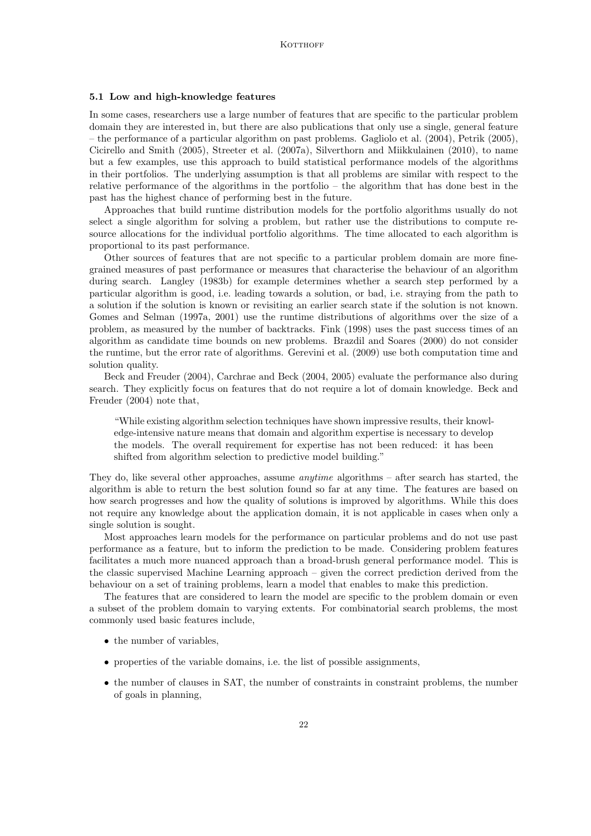### **5.1 Low and high-knowledge features**

In some cases, researchers use a large number of features that are specific to the particular problem domain they are interested in, but there are also publications that only use a single, general feature – the performance of a particular algorithm on past problems. Gagliolo et al. (2004), Petrik (2005), Cicirello and Smith (2005), Streeter et al. (2007a), Silverthorn and Miikkulainen (2010), to name but a few examples, use this approach to build statistical performance models of the algorithms in their portfolios. The underlying assumption is that all problems are similar with respect to the relative performance of the algorithms in the portfolio – the algorithm that has done best in the past has the highest chance of performing best in the future.

Approaches that build runtime distribution models for the portfolio algorithms usually do not select a single algorithm for solving a problem, but rather use the distributions to compute resource allocations for the individual portfolio algorithms. The time allocated to each algorithm is proportional to its past performance.

Other sources of features that are not specific to a particular problem domain are more finegrained measures of past performance or measures that characterise the behaviour of an algorithm during search. Langley (1983b) for example determines whether a search step performed by a particular algorithm is good, i.e. leading towards a solution, or bad, i.e. straying from the path to a solution if the solution is known or revisiting an earlier search state if the solution is not known. Gomes and Selman (1997a, 2001) use the runtime distributions of algorithms over the size of a problem, as measured by the number of backtracks. Fink (1998) uses the past success times of an algorithm as candidate time bounds on new problems. Brazdil and Soares (2000) do not consider the runtime, but the error rate of algorithms. Gerevini et al. (2009) use both computation time and solution quality.

Beck and Freuder (2004), Carchrae and Beck (2004, 2005) evaluate the performance also during search. They explicitly focus on features that do not require a lot of domain knowledge. Beck and Freuder (2004) note that,

"While existing algorithm selection techniques have shown impressive results, their knowledge-intensive nature means that domain and algorithm expertise is necessary to develop the models. The overall requirement for expertise has not been reduced: it has been shifted from algorithm selection to predictive model building."

They do, like several other approaches, assume *anytime* algorithms – after search has started, the algorithm is able to return the best solution found so far at any time. The features are based on how search progresses and how the quality of solutions is improved by algorithms. While this does not require any knowledge about the application domain, it is not applicable in cases when only a single solution is sought.

Most approaches learn models for the performance on particular problems and do not use past performance as a feature, but to inform the prediction to be made. Considering problem features facilitates a much more nuanced approach than a broad-brush general performance model. This is the classic supervised Machine Learning approach – given the correct prediction derived from the behaviour on a set of training problems, learn a model that enables to make this prediction.

The features that are considered to learn the model are specific to the problem domain or even a subset of the problem domain to varying extents. For combinatorial search problems, the most commonly used basic features include,

- the number of variables.
- properties of the variable domains, i.e. the list of possible assignments,
- the number of clauses in SAT, the number of constraints in constraint problems, the number of goals in planning,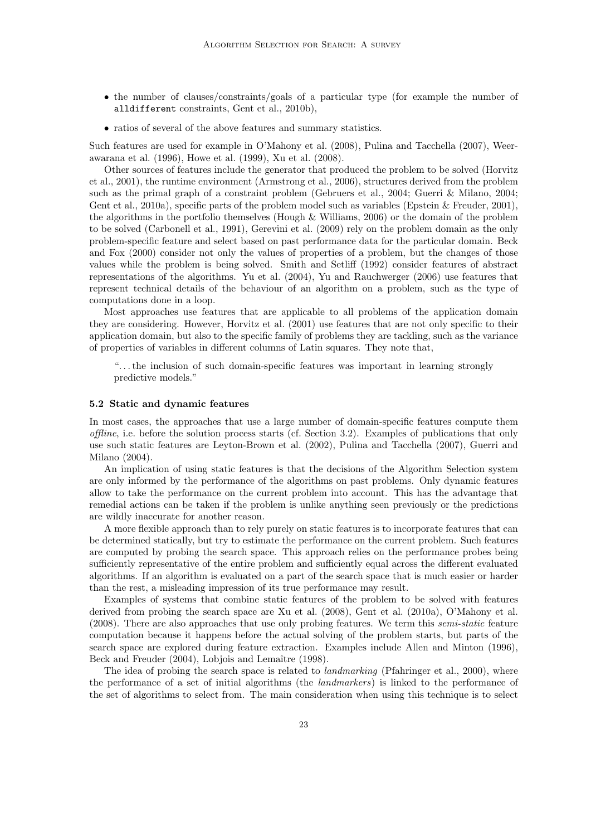- the number of clauses/constraints/goals of a particular type (for example the number of alldifferent constraints, Gent et al., 2010b),
- *•* ratios of several of the above features and summary statistics.

Such features are used for example in O'Mahony et al. (2008), Pulina and Tacchella (2007), Weerawarana et al. (1996), Howe et al. (1999), Xu et al. (2008).

Other sources of features include the generator that produced the problem to be solved (Horvitz et al., 2001), the runtime environment (Armstrong et al., 2006), structures derived from the problem such as the primal graph of a constraint problem (Gebruers et al., 2004; Guerri & Milano, 2004; Gent et al., 2010a), specific parts of the problem model such as variables (Epstein & Freuder, 2001), the algorithms in the portfolio themselves (Hough & Williams, 2006) or the domain of the problem to be solved (Carbonell et al., 1991), Gerevini et al. (2009) rely on the problem domain as the only problem-specific feature and select based on past performance data for the particular domain. Beck and Fox (2000) consider not only the values of properties of a problem, but the changes of those values while the problem is being solved. Smith and Setliff (1992) consider features of abstract representations of the algorithms. Yu et al. (2004), Yu and Rauchwerger (2006) use features that represent technical details of the behaviour of an algorithm on a problem, such as the type of computations done in a loop.

Most approaches use features that are applicable to all problems of the application domain they are considering. However, Horvitz et al. (2001) use features that are not only specific to their application domain, but also to the specific family of problems they are tackling, such as the variance of properties of variables in different columns of Latin squares. They note that,

". . . the inclusion of such domain-specific features was important in learning strongly predictive models."

### **5.2 Static and dynamic features**

In most cases, the approaches that use a large number of domain-specific features compute them *offline*, i.e. before the solution process starts (cf. Section 3.2). Examples of publications that only use such static features are Leyton-Brown et al. (2002), Pulina and Tacchella (2007), Guerri and Milano (2004).

An implication of using static features is that the decisions of the Algorithm Selection system are only informed by the performance of the algorithms on past problems. Only dynamic features allow to take the performance on the current problem into account. This has the advantage that remedial actions can be taken if the problem is unlike anything seen previously or the predictions are wildly inaccurate for another reason.

A more flexible approach than to rely purely on static features is to incorporate features that can be determined statically, but try to estimate the performance on the current problem. Such features are computed by probing the search space. This approach relies on the performance probes being sufficiently representative of the entire problem and sufficiently equal across the different evaluated algorithms. If an algorithm is evaluated on a part of the search space that is much easier or harder than the rest, a misleading impression of its true performance may result.

Examples of systems that combine static features of the problem to be solved with features derived from probing the search space are Xu et al. (2008), Gent et al. (2010a), O'Mahony et al. (2008). There are also approaches that use only probing features. We term this *semi-static* feature computation because it happens before the actual solving of the problem starts, but parts of the search space are explored during feature extraction. Examples include Allen and Minton (1996), Beck and Freuder (2004), Lobjois and Lemaître (1998).

The idea of probing the search space is related to *landmarking* (Pfahringer et al., 2000), where the performance of a set of initial algorithms (the *landmarkers*) is linked to the performance of the set of algorithms to select from. The main consideration when using this technique is to select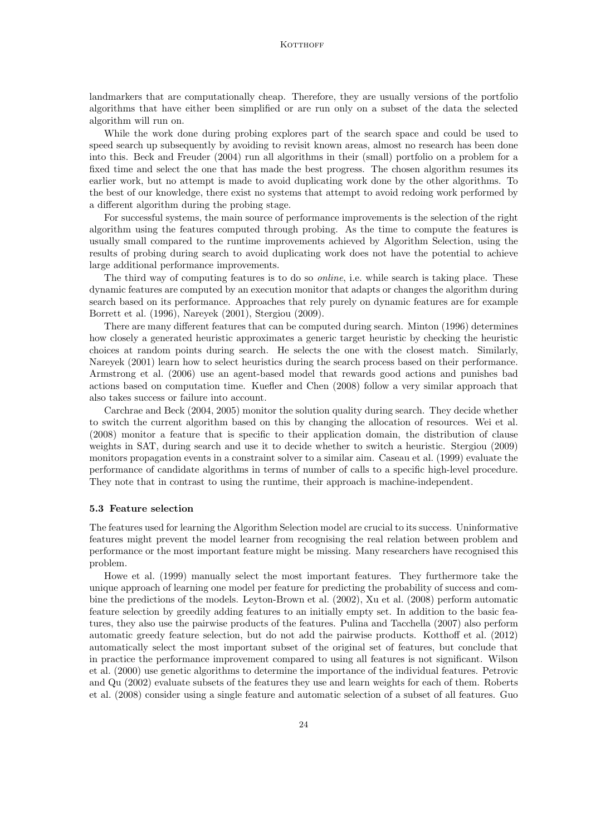landmarkers that are computationally cheap. Therefore, they are usually versions of the portfolio algorithms that have either been simplified or are run only on a subset of the data the selected algorithm will run on.

While the work done during probing explores part of the search space and could be used to speed search up subsequently by avoiding to revisit known areas, almost no research has been done into this. Beck and Freuder (2004) run all algorithms in their (small) portfolio on a problem for a fixed time and select the one that has made the best progress. The chosen algorithm resumes its earlier work, but no attempt is made to avoid duplicating work done by the other algorithms. To the best of our knowledge, there exist no systems that attempt to avoid redoing work performed by a different algorithm during the probing stage.

For successful systems, the main source of performance improvements is the selection of the right algorithm using the features computed through probing. As the time to compute the features is usually small compared to the runtime improvements achieved by Algorithm Selection, using the results of probing during search to avoid duplicating work does not have the potential to achieve large additional performance improvements.

The third way of computing features is to do so *online*, i.e. while search is taking place. These dynamic features are computed by an execution monitor that adapts or changes the algorithm during search based on its performance. Approaches that rely purely on dynamic features are for example Borrett et al. (1996), Nareyek (2001), Stergiou (2009).

There are many different features that can be computed during search. Minton (1996) determines how closely a generated heuristic approximates a generic target heuristic by checking the heuristic choices at random points during search. He selects the one with the closest match. Similarly, Nareyek (2001) learn how to select heuristics during the search process based on their performance. Armstrong et al. (2006) use an agent-based model that rewards good actions and punishes bad actions based on computation time. Kuefler and Chen (2008) follow a very similar approach that also takes success or failure into account.

Carchrae and Beck (2004, 2005) monitor the solution quality during search. They decide whether to switch the current algorithm based on this by changing the allocation of resources. Wei et al. (2008) monitor a feature that is specific to their application domain, the distribution of clause weights in SAT, during search and use it to decide whether to switch a heuristic. Stergiou (2009) monitors propagation events in a constraint solver to a similar aim. Caseau et al. (1999) evaluate the performance of candidate algorithms in terms of number of calls to a specific high-level procedure. They note that in contrast to using the runtime, their approach is machine-independent.

### **5.3 Feature selection**

The features used for learning the Algorithm Selection model are crucial to its success. Uninformative features might prevent the model learner from recognising the real relation between problem and performance or the most important feature might be missing. Many researchers have recognised this problem.

Howe et al. (1999) manually select the most important features. They furthermore take the unique approach of learning one model per feature for predicting the probability of success and combine the predictions of the models. Leyton-Brown et al. (2002), Xu et al. (2008) perform automatic feature selection by greedily adding features to an initially empty set. In addition to the basic features, they also use the pairwise products of the features. Pulina and Tacchella (2007) also perform automatic greedy feature selection, but do not add the pairwise products. Kotthoff et al. (2012) automatically select the most important subset of the original set of features, but conclude that in practice the performance improvement compared to using all features is not significant. Wilson et al. (2000) use genetic algorithms to determine the importance of the individual features. Petrovic and Qu (2002) evaluate subsets of the features they use and learn weights for each of them. Roberts et al. (2008) consider using a single feature and automatic selection of a subset of all features. Guo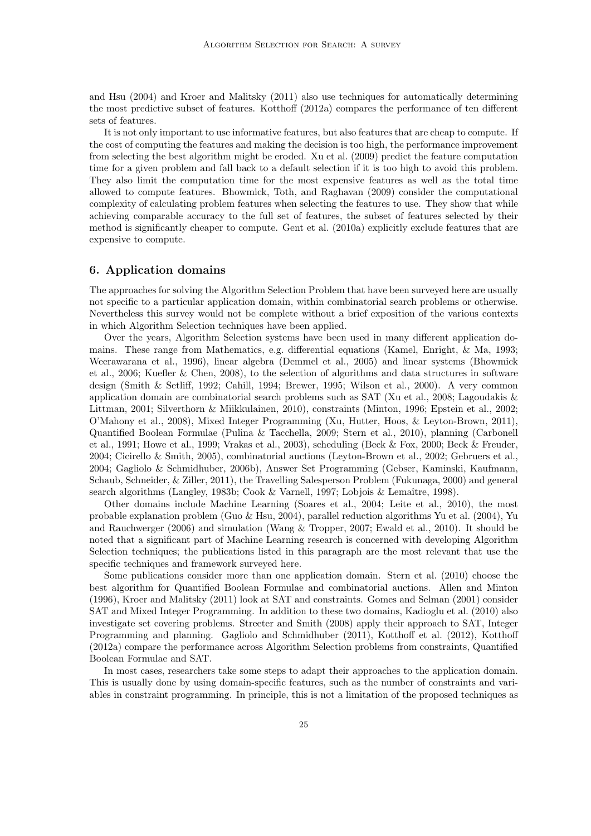and Hsu (2004) and Kroer and Malitsky (2011) also use techniques for automatically determining the most predictive subset of features. Kotthoff (2012a) compares the performance of ten different sets of features.

It is not only important to use informative features, but also features that are cheap to compute. If the cost of computing the features and making the decision is too high, the performance improvement from selecting the best algorithm might be eroded. Xu et al. (2009) predict the feature computation time for a given problem and fall back to a default selection if it is too high to avoid this problem. They also limit the computation time for the most expensive features as well as the total time allowed to compute features. Bhowmick, Toth, and Raghavan (2009) consider the computational complexity of calculating problem features when selecting the features to use. They show that while achieving comparable accuracy to the full set of features, the subset of features selected by their method is significantly cheaper to compute. Gent et al. (2010a) explicitly exclude features that are expensive to compute.

# **6. Application domains**

The approaches for solving the Algorithm Selection Problem that have been surveyed here are usually not specific to a particular application domain, within combinatorial search problems or otherwise. Nevertheless this survey would not be complete without a brief exposition of the various contexts in which Algorithm Selection techniques have been applied.

Over the years, Algorithm Selection systems have been used in many different application domains. These range from Mathematics, e.g. differential equations (Kamel, Enright, & Ma, 1993; Weerawarana et al., 1996), linear algebra (Demmel et al., 2005) and linear systems (Bhowmick et al., 2006; Kuefler & Chen, 2008), to the selection of algorithms and data structures in software design (Smith & Setliff, 1992; Cahill, 1994; Brewer, 1995; Wilson et al., 2000). A very common application domain are combinatorial search problems such as SAT (Xu et al., 2008; Lagoudakis & Littman, 2001; Silverthorn & Miikkulainen, 2010), constraints (Minton, 1996; Epstein et al., 2002; O'Mahony et al., 2008), Mixed Integer Programming (Xu, Hutter, Hoos, & Leyton-Brown, 2011), Quantified Boolean Formulae (Pulina & Tacchella, 2009; Stern et al., 2010), planning (Carbonell et al., 1991; Howe et al., 1999; Vrakas et al., 2003), scheduling (Beck & Fox, 2000; Beck & Freuder, 2004; Cicirello & Smith, 2005), combinatorial auctions (Leyton-Brown et al., 2002; Gebruers et al., 2004; Gagliolo & Schmidhuber, 2006b), Answer Set Programming (Gebser, Kaminski, Kaufmann, Schaub, Schneider, & Ziller, 2011), the Travelling Salesperson Problem (Fukunaga, 2000) and general search algorithms (Langley, 1983b; Cook & Varnell, 1997; Lobjois & Lemaître, 1998).

Other domains include Machine Learning (Soares et al., 2004; Leite et al., 2010), the most probable explanation problem (Guo & Hsu, 2004), parallel reduction algorithms Yu et al. (2004), Yu and Rauchwerger (2006) and simulation (Wang & Tropper, 2007; Ewald et al., 2010). It should be noted that a significant part of Machine Learning research is concerned with developing Algorithm Selection techniques; the publications listed in this paragraph are the most relevant that use the specific techniques and framework surveyed here.

Some publications consider more than one application domain. Stern et al. (2010) choose the best algorithm for Quantified Boolean Formulae and combinatorial auctions. Allen and Minton (1996), Kroer and Malitsky (2011) look at SAT and constraints. Gomes and Selman (2001) consider SAT and Mixed Integer Programming. In addition to these two domains, Kadioglu et al. (2010) also investigate set covering problems. Streeter and Smith (2008) apply their approach to SAT, Integer Programming and planning. Gagliolo and Schmidhuber (2011), Kotthoff et al. (2012), Kotthoff (2012a) compare the performance across Algorithm Selection problems from constraints, Quantified Boolean Formulae and SAT.

In most cases, researchers take some steps to adapt their approaches to the application domain. This is usually done by using domain-specific features, such as the number of constraints and variables in constraint programming. In principle, this is not a limitation of the proposed techniques as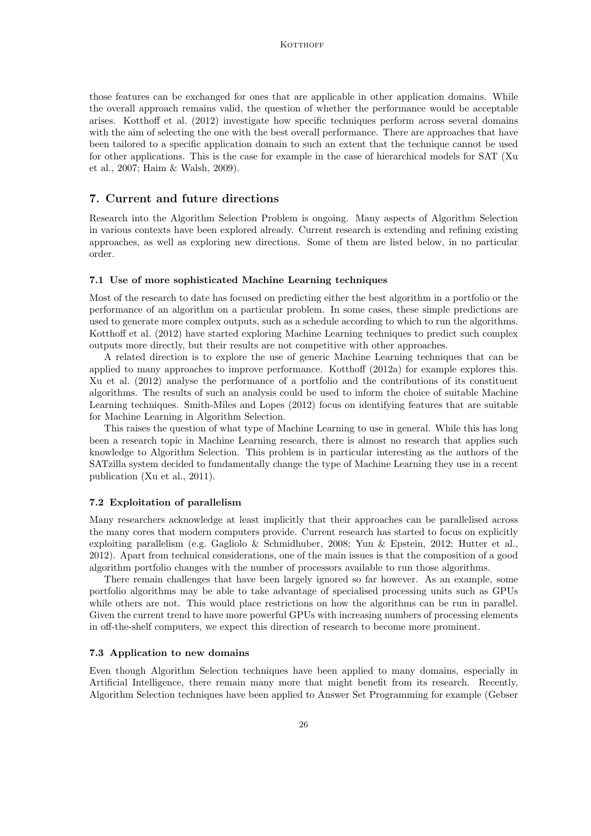those features can be exchanged for ones that are applicable in other application domains. While the overall approach remains valid, the question of whether the performance would be acceptable arises. Kotthoff et al. (2012) investigate how specific techniques perform across several domains with the aim of selecting the one with the best overall performance. There are approaches that have been tailored to a specific application domain to such an extent that the technique cannot be used for other applications. This is the case for example in the case of hierarchical models for SAT (Xu et al., 2007; Haim & Walsh, 2009).

# **7. Current and future directions**

Research into the Algorithm Selection Problem is ongoing. Many aspects of Algorithm Selection in various contexts have been explored already. Current research is extending and refining existing approaches, as well as exploring new directions. Some of them are listed below, in no particular order.

# **7.1 Use of more sophisticated Machine Learning techniques**

Most of the research to date has focused on predicting either the best algorithm in a portfolio or the performance of an algorithm on a particular problem. In some cases, these simple predictions are used to generate more complex outputs, such as a schedule according to which to run the algorithms. Kotthoff et al. (2012) have started exploring Machine Learning techniques to predict such complex outputs more directly, but their results are not competitive with other approaches.

A related direction is to explore the use of generic Machine Learning techniques that can be applied to many approaches to improve performance. Kotthoff (2012a) for example explores this. Xu et al. (2012) analyse the performance of a portfolio and the contributions of its constituent algorithms. The results of such an analysis could be used to inform the choice of suitable Machine Learning techniques. Smith-Miles and Lopes (2012) focus on identifying features that are suitable for Machine Learning in Algorithm Selection.

This raises the question of what type of Machine Learning to use in general. While this has long been a research topic in Machine Learning research, there is almost no research that applies such knowledge to Algorithm Selection. This problem is in particular interesting as the authors of the SATzilla system decided to fundamentally change the type of Machine Learning they use in a recent publication (Xu et al., 2011).

## **7.2 Exploitation of parallelism**

Many researchers acknowledge at least implicitly that their approaches can be parallelised across the many cores that modern computers provide. Current research has started to focus on explicitly exploiting parallelism (e.g. Gagliolo & Schmidhuber, 2008; Yun & Epstein, 2012; Hutter et al., 2012). Apart from technical considerations, one of the main issues is that the composition of a good algorithm portfolio changes with the number of processors available to run those algorithms.

There remain challenges that have been largely ignored so far however. As an example, some portfolio algorithms may be able to take advantage of specialised processing units such as GPUs while others are not. This would place restrictions on how the algorithms can be run in parallel. Given the current trend to have more powerful GPUs with increasing numbers of processing elements in off-the-shelf computers, we expect this direction of research to become more prominent.

# **7.3 Application to new domains**

Even though Algorithm Selection techniques have been applied to many domains, especially in Artificial Intelligence, there remain many more that might benefit from its research. Recently, Algorithm Selection techniques have been applied to Answer Set Programming for example (Gebser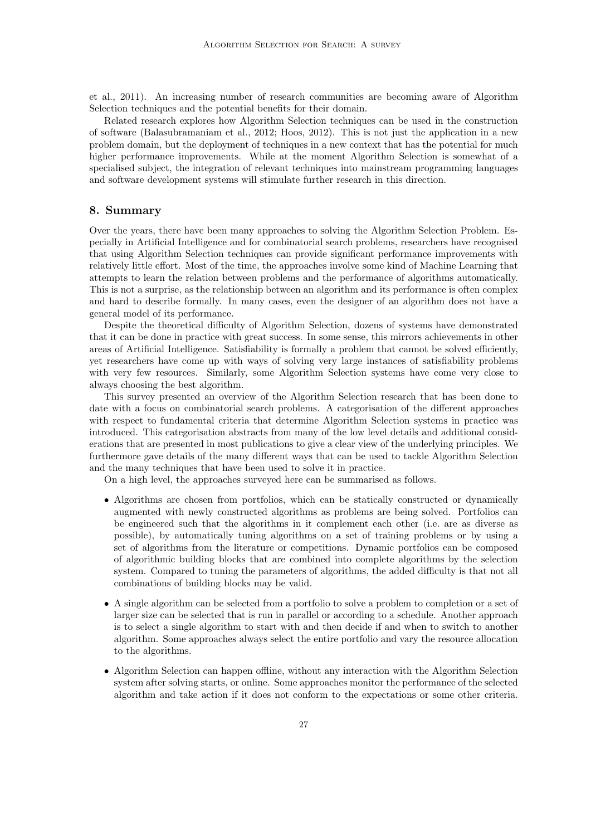et al., 2011). An increasing number of research communities are becoming aware of Algorithm Selection techniques and the potential benefits for their domain.

Related research explores how Algorithm Selection techniques can be used in the construction of software (Balasubramaniam et al., 2012; Hoos, 2012). This is not just the application in a new problem domain, but the deployment of techniques in a new context that has the potential for much higher performance improvements. While at the moment Algorithm Selection is somewhat of a specialised subject, the integration of relevant techniques into mainstream programming languages and software development systems will stimulate further research in this direction.

# **8. Summary**

Over the years, there have been many approaches to solving the Algorithm Selection Problem. Especially in Artificial Intelligence and for combinatorial search problems, researchers have recognised that using Algorithm Selection techniques can provide significant performance improvements with relatively little effort. Most of the time, the approaches involve some kind of Machine Learning that attempts to learn the relation between problems and the performance of algorithms automatically. This is not a surprise, as the relationship between an algorithm and its performance is often complex and hard to describe formally. In many cases, even the designer of an algorithm does not have a general model of its performance.

Despite the theoretical difficulty of Algorithm Selection, dozens of systems have demonstrated that it can be done in practice with great success. In some sense, this mirrors achievements in other areas of Artificial Intelligence. Satisfiability is formally a problem that cannot be solved efficiently, yet researchers have come up with ways of solving very large instances of satisfiability problems with very few resources. Similarly, some Algorithm Selection systems have come very close to always choosing the best algorithm.

This survey presented an overview of the Algorithm Selection research that has been done to date with a focus on combinatorial search problems. A categorisation of the different approaches with respect to fundamental criteria that determine Algorithm Selection systems in practice was introduced. This categorisation abstracts from many of the low level details and additional considerations that are presented in most publications to give a clear view of the underlying principles. We furthermore gave details of the many different ways that can be used to tackle Algorithm Selection and the many techniques that have been used to solve it in practice.

On a high level, the approaches surveyed here can be summarised as follows.

- Algorithms are chosen from portfolios, which can be statically constructed or dynamically augmented with newly constructed algorithms as problems are being solved. Portfolios can be engineered such that the algorithms in it complement each other (i.e. are as diverse as possible), by automatically tuning algorithms on a set of training problems or by using a set of algorithms from the literature or competitions. Dynamic portfolios can be composed of algorithmic building blocks that are combined into complete algorithms by the selection system. Compared to tuning the parameters of algorithms, the added difficulty is that not all combinations of building blocks may be valid.
- A single algorithm can be selected from a portfolio to solve a problem to completion or a set of larger size can be selected that is run in parallel or according to a schedule. Another approach is to select a single algorithm to start with and then decide if and when to switch to another algorithm. Some approaches always select the entire portfolio and vary the resource allocation to the algorithms.
- Algorithm Selection can happen offline, without any interaction with the Algorithm Selection system after solving starts, or online. Some approaches monitor the performance of the selected algorithm and take action if it does not conform to the expectations or some other criteria.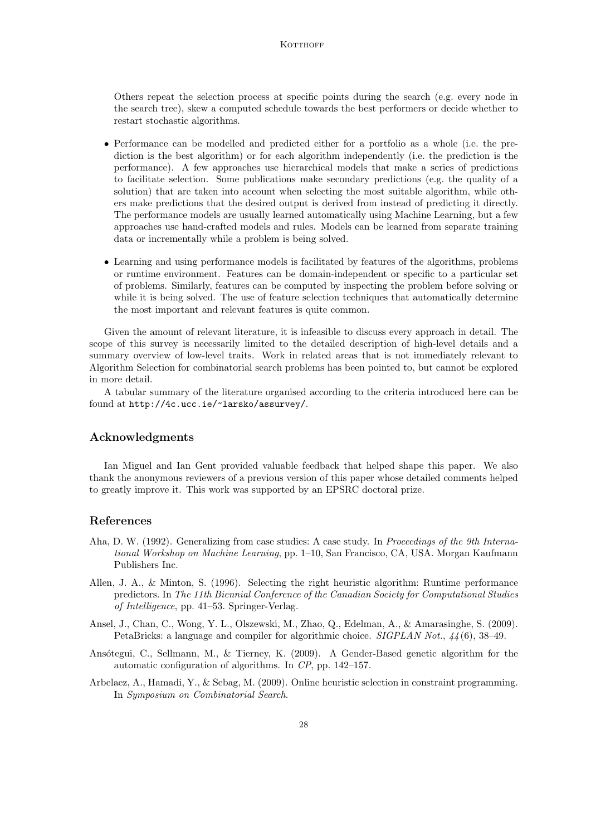Others repeat the selection process at specific points during the search (e.g. every node in the search tree), skew a computed schedule towards the best performers or decide whether to restart stochastic algorithms.

- Performance can be modelled and predicted either for a portfolio as a whole (i.e. the prediction is the best algorithm) or for each algorithm independently (i.e. the prediction is the performance). A few approaches use hierarchical models that make a series of predictions to facilitate selection. Some publications make secondary predictions (e.g. the quality of a solution) that are taken into account when selecting the most suitable algorithm, while others make predictions that the desired output is derived from instead of predicting it directly. The performance models are usually learned automatically using Machine Learning, but a few approaches use hand-crafted models and rules. Models can be learned from separate training data or incrementally while a problem is being solved.
- Learning and using performance models is facilitated by features of the algorithms, problems or runtime environment. Features can be domain-independent or specific to a particular set of problems. Similarly, features can be computed by inspecting the problem before solving or while it is being solved. The use of feature selection techniques that automatically determine the most important and relevant features is quite common.

Given the amount of relevant literature, it is infeasible to discuss every approach in detail. The scope of this survey is necessarily limited to the detailed description of high-level details and a summary overview of low-level traits. Work in related areas that is not immediately relevant to Algorithm Selection for combinatorial search problems has been pointed to, but cannot be explored in more detail.

A tabular summary of the literature organised according to the criteria introduced here can be found at http://4c.ucc.ie/~larsko/assurvey/.

# **Acknowledgments**

Ian Miguel and Ian Gent provided valuable feedback that helped shape this paper. We also thank the anonymous reviewers of a previous version of this paper whose detailed comments helped to greatly improve it. This work was supported by an EPSRC doctoral prize.

# **References**

- Aha, D. W. (1992). Generalizing from case studies: A case study. In *Proceedings of the 9th International Workshop on Machine Learning*, pp. 1–10, San Francisco, CA, USA. Morgan Kaufmann Publishers Inc.
- Allen, J. A., & Minton, S. (1996). Selecting the right heuristic algorithm: Runtime performance predictors. In *The 11th Biennial Conference of the Canadian Society for Computational Studies of Intelligence*, pp. 41–53. Springer-Verlag.
- Ansel, J., Chan, C., Wong, Y. L., Olszewski, M., Zhao, Q., Edelman, A., & Amarasinghe, S. (2009). PetaBricks: a language and compiler for algorithmic choice. *SIGPLAN Not.*, *44* (6), 38–49.
- Ansótegui, C., Sellmann, M., & Tierney, K. (2009). A Gender-Based genetic algorithm for the automatic configuration of algorithms. In *CP*, pp. 142–157.
- Arbelaez, A., Hamadi, Y., & Sebag, M. (2009). Online heuristic selection in constraint programming. In *Symposium on Combinatorial Search*.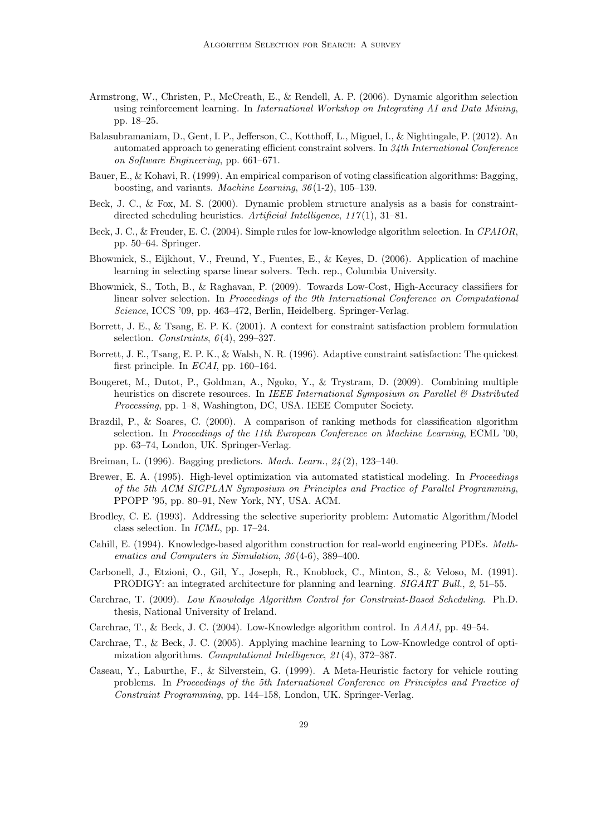- Armstrong, W., Christen, P., McCreath, E., & Rendell, A. P. (2006). Dynamic algorithm selection using reinforcement learning. In *International Workshop on Integrating AI and Data Mining*, pp. 18–25.
- Balasubramaniam, D., Gent, I. P., Jefferson, C., Kotthoff, L., Miguel, I., & Nightingale, P. (2012). An automated approach to generating efficient constraint solvers. In *34th International Conference on Software Engineering*, pp. 661–671.
- Bauer, E., & Kohavi, R. (1999). An empirical comparison of voting classification algorithms: Bagging, boosting, and variants. *Machine Learning*, *36* (1-2), 105–139.
- Beck, J. C., & Fox, M. S. (2000). Dynamic problem structure analysis as a basis for constraintdirected scheduling heuristics. *Artificial Intelligence*, *117* (1), 31–81.
- Beck, J. C., & Freuder, E. C. (2004). Simple rules for low-knowledge algorithm selection. In *CPAIOR*, pp. 50–64. Springer.
- Bhowmick, S., Eijkhout, V., Freund, Y., Fuentes, E., & Keyes, D. (2006). Application of machine learning in selecting sparse linear solvers. Tech. rep., Columbia University.
- Bhowmick, S., Toth, B., & Raghavan, P. (2009). Towards Low-Cost, High-Accuracy classifiers for linear solver selection. In *Proceedings of the 9th International Conference on Computational Science*, ICCS '09, pp. 463–472, Berlin, Heidelberg. Springer-Verlag.
- Borrett, J. E., & Tsang, E. P. K. (2001). A context for constraint satisfaction problem formulation selection. *Constraints*, *6* (4), 299–327.
- Borrett, J. E., Tsang, E. P. K., & Walsh, N. R. (1996). Adaptive constraint satisfaction: The quickest first principle. In *ECAI*, pp. 160–164.
- Bougeret, M., Dutot, P., Goldman, A., Ngoko, Y., & Trystram, D. (2009). Combining multiple heuristics on discrete resources. In *IEEE International Symposium on Parallel & Distributed Processing*, pp. 1–8, Washington, DC, USA. IEEE Computer Society.
- Brazdil, P., & Soares, C. (2000). A comparison of ranking methods for classification algorithm selection. In *Proceedings of the 11th European Conference on Machine Learning*, ECML '00, pp. 63–74, London, UK. Springer-Verlag.
- Breiman, L. (1996). Bagging predictors. *Mach. Learn.*, *24* (2), 123–140.
- Brewer, E. A. (1995). High-level optimization via automated statistical modeling. In *Proceedings of the 5th ACM SIGPLAN Symposium on Principles and Practice of Parallel Programming*, PPOPP '95, pp. 80–91, New York, NY, USA. ACM.
- Brodley, C. E. (1993). Addressing the selective superiority problem: Automatic Algorithm/Model class selection. In *ICML*, pp. 17–24.
- Cahill, E. (1994). Knowledge-based algorithm construction for real-world engineering PDEs. *Mathematics and Computers in Simulation*, *36* (4-6), 389–400.
- Carbonell, J., Etzioni, O., Gil, Y., Joseph, R., Knoblock, C., Minton, S., & Veloso, M. (1991). PRODIGY: an integrated architecture for planning and learning. *SIGART Bull.*, *2*, 51–55.
- Carchrae, T. (2009). *Low Knowledge Algorithm Control for Constraint-Based Scheduling*. Ph.D. thesis, National University of Ireland.
- Carchrae, T., & Beck, J. C. (2004). Low-Knowledge algorithm control. In *AAAI*, pp. 49–54.
- Carchrae, T., & Beck, J. C. (2005). Applying machine learning to Low-Knowledge control of optimization algorithms. *Computational Intelligence*, *21* (4), 372–387.
- Caseau, Y., Laburthe, F., & Silverstein, G. (1999). A Meta-Heuristic factory for vehicle routing problems. In *Proceedings of the 5th International Conference on Principles and Practice of Constraint Programming*, pp. 144–158, London, UK. Springer-Verlag.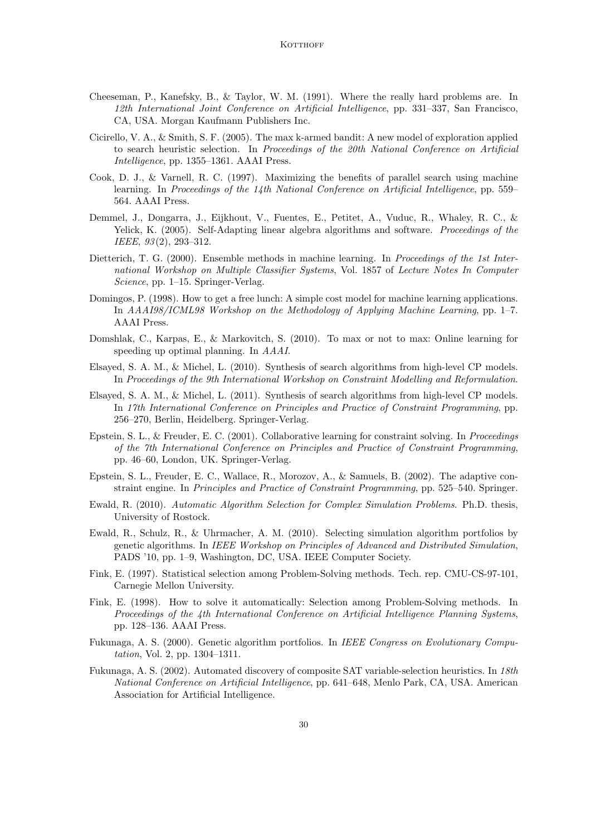- Cheeseman, P., Kanefsky, B., & Taylor, W. M. (1991). Where the really hard problems are. In *12th International Joint Conference on Artificial Intelligence*, pp. 331–337, San Francisco, CA, USA. Morgan Kaufmann Publishers Inc.
- Cicirello, V. A., & Smith, S. F. (2005). The max k-armed bandit: A new model of exploration applied to search heuristic selection. In *Proceedings of the 20th National Conference on Artificial Intelligence*, pp. 1355–1361. AAAI Press.
- Cook, D. J., & Varnell, R. C. (1997). Maximizing the benefits of parallel search using machine learning. In *Proceedings of the 14th National Conference on Artificial Intelligence*, pp. 559– 564. AAAI Press.
- Demmel, J., Dongarra, J., Eijkhout, V., Fuentes, E., Petitet, A., Vuduc, R., Whaley, R. C., & Yelick, K. (2005). Self-Adapting linear algebra algorithms and software. *Proceedings of the IEEE*, *93* (2), 293–312.
- Dietterich, T. G. (2000). Ensemble methods in machine learning. In *Proceedings of the 1st International Workshop on Multiple Classifier Systems*, Vol. 1857 of *Lecture Notes In Computer Science*, pp. 1–15. Springer-Verlag.
- Domingos, P. (1998). How to get a free lunch: A simple cost model for machine learning applications. In *AAAI98/ICML98 Workshop on the Methodology of Applying Machine Learning*, pp. 1–7. AAAI Press.
- Domshlak, C., Karpas, E., & Markovitch, S. (2010). To max or not to max: Online learning for speeding up optimal planning. In *AAAI*.
- Elsayed, S. A. M., & Michel, L. (2010). Synthesis of search algorithms from high-level CP models. In *Proceedings of the 9th International Workshop on Constraint Modelling and Reformulation*.
- Elsayed, S. A. M., & Michel, L. (2011). Synthesis of search algorithms from high-level CP models. In *17th International Conference on Principles and Practice of Constraint Programming*, pp. 256–270, Berlin, Heidelberg. Springer-Verlag.
- Epstein, S. L., & Freuder, E. C. (2001). Collaborative learning for constraint solving. In *Proceedings of the 7th International Conference on Principles and Practice of Constraint Programming*, pp. 46–60, London, UK. Springer-Verlag.
- Epstein, S. L., Freuder, E. C., Wallace, R., Morozov, A., & Samuels, B. (2002). The adaptive constraint engine. In *Principles and Practice of Constraint Programming*, pp. 525–540. Springer.
- Ewald, R. (2010). *Automatic Algorithm Selection for Complex Simulation Problems*. Ph.D. thesis, University of Rostock.
- Ewald, R., Schulz, R., & Uhrmacher, A. M. (2010). Selecting simulation algorithm portfolios by genetic algorithms. In *IEEE Workshop on Principles of Advanced and Distributed Simulation*, PADS '10, pp. 1–9, Washington, DC, USA. IEEE Computer Society.
- Fink, E. (1997). Statistical selection among Problem-Solving methods. Tech. rep. CMU-CS-97-101, Carnegie Mellon University.
- Fink, E. (1998). How to solve it automatically: Selection among Problem-Solving methods. In *Proceedings of the 4th International Conference on Artificial Intelligence Planning Systems*, pp. 128–136. AAAI Press.
- Fukunaga, A. S. (2000). Genetic algorithm portfolios. In *IEEE Congress on Evolutionary Computation*, Vol. 2, pp. 1304–1311.
- Fukunaga, A. S. (2002). Automated discovery of composite SAT variable-selection heuristics. In *18th National Conference on Artificial Intelligence*, pp. 641–648, Menlo Park, CA, USA. American Association for Artificial Intelligence.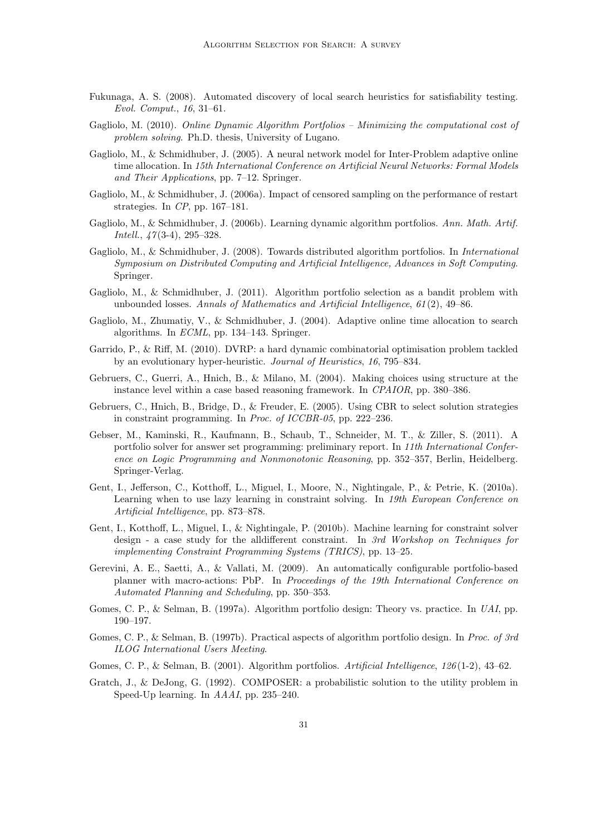- Fukunaga, A. S. (2008). Automated discovery of local search heuristics for satisfiability testing. *Evol. Comput.*, *16*, 31–61.
- Gagliolo, M. (2010). *Online Dynamic Algorithm Portfolios Minimizing the computational cost of problem solving*. Ph.D. thesis, University of Lugano.
- Gagliolo, M., & Schmidhuber, J. (2005). A neural network model for Inter-Problem adaptive online time allocation. In *15th International Conference on Artificial Neural Networks: Formal Models and Their Applications*, pp. 7–12. Springer.
- Gagliolo, M., & Schmidhuber, J. (2006a). Impact of censored sampling on the performance of restart strategies. In *CP*, pp. 167–181.
- Gagliolo, M., & Schmidhuber, J. (2006b). Learning dynamic algorithm portfolios. *Ann. Math. Artif. Intell.*, *47* (3-4), 295–328.
- Gagliolo, M., & Schmidhuber, J. (2008). Towards distributed algorithm portfolios. In *International Symposium on Distributed Computing and Artificial Intelligence, Advances in Soft Computing*. Springer.
- Gagliolo, M., & Schmidhuber, J. (2011). Algorithm portfolio selection as a bandit problem with unbounded losses. *Annals of Mathematics and Artificial Intelligence*, *61* (2), 49–86.
- Gagliolo, M., Zhumatiy, V., & Schmidhuber, J. (2004). Adaptive online time allocation to search algorithms. In *ECML*, pp. 134–143. Springer.
- Garrido, P., & Riff, M. (2010). DVRP: a hard dynamic combinatorial optimisation problem tackled by an evolutionary hyper-heuristic. *Journal of Heuristics*, *16*, 795–834.
- Gebruers, C., Guerri, A., Hnich, B., & Milano, M. (2004). Making choices using structure at the instance level within a case based reasoning framework. In *CPAIOR*, pp. 380–386.
- Gebruers, C., Hnich, B., Bridge, D., & Freuder, E. (2005). Using CBR to select solution strategies in constraint programming. In *Proc. of ICCBR-05*, pp. 222–236.
- Gebser, M., Kaminski, R., Kaufmann, B., Schaub, T., Schneider, M. T., & Ziller, S. (2011). A portfolio solver for answer set programming: preliminary report. In *11th International Conference on Logic Programming and Nonmonotonic Reasoning*, pp. 352–357, Berlin, Heidelberg. Springer-Verlag.
- Gent, I., Jefferson, C., Kotthoff, L., Miguel, I., Moore, N., Nightingale, P., & Petrie, K. (2010a). Learning when to use lazy learning in constraint solving. In *19th European Conference on Artificial Intelligence*, pp. 873–878.
- Gent, I., Kotthoff, L., Miguel, I., & Nightingale, P. (2010b). Machine learning for constraint solver design - a case study for the alldifferent constraint. In *3rd Workshop on Techniques for implementing Constraint Programming Systems (TRICS)*, pp. 13–25.
- Gerevini, A. E., Saetti, A., & Vallati, M. (2009). An automatically configurable portfolio-based planner with macro-actions: PbP. In *Proceedings of the 19th International Conference on Automated Planning and Scheduling*, pp. 350–353.
- Gomes, C. P., & Selman, B. (1997a). Algorithm portfolio design: Theory vs. practice. In *UAI*, pp. 190–197.
- Gomes, C. P., & Selman, B. (1997b). Practical aspects of algorithm portfolio design. In *Proc. of 3rd ILOG International Users Meeting*.
- Gomes, C. P., & Selman, B. (2001). Algorithm portfolios. *Artificial Intelligence*, *126* (1-2), 43–62.
- Gratch, J., & DeJong, G. (1992). COMPOSER: a probabilistic solution to the utility problem in Speed-Up learning. In *AAAI*, pp. 235–240.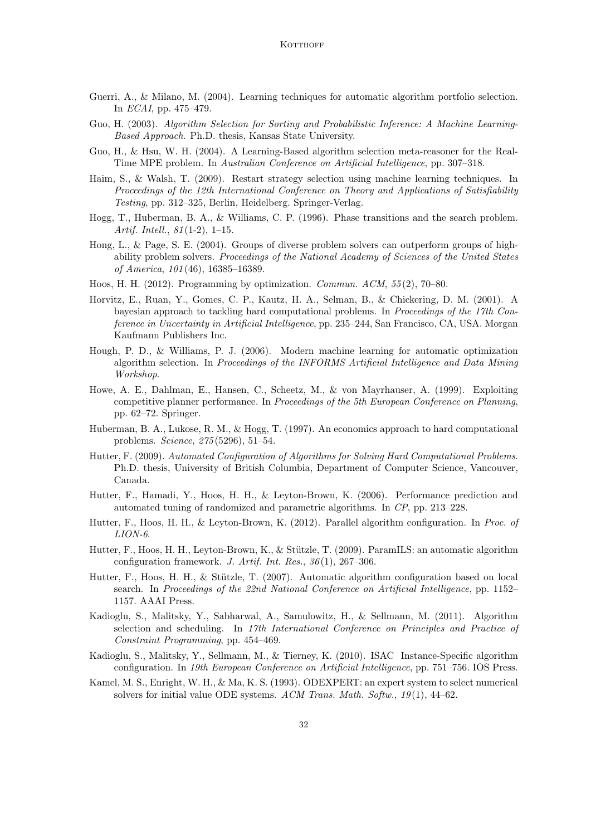- Guerri, A., & Milano, M. (2004). Learning techniques for automatic algorithm portfolio selection. In *ECAI*, pp. 475–479.
- Guo, H. (2003). *Algorithm Selection for Sorting and Probabilistic Inference: A Machine Learning-Based Approach*. Ph.D. thesis, Kansas State University.
- Guo, H., & Hsu, W. H. (2004). A Learning-Based algorithm selection meta-reasoner for the Real-Time MPE problem. In *Australian Conference on Artificial Intelligence*, pp. 307–318.
- Haim, S., & Walsh, T. (2009). Restart strategy selection using machine learning techniques. In *Proceedings of the 12th International Conference on Theory and Applications of Satisfiability Testing*, pp. 312–325, Berlin, Heidelberg. Springer-Verlag.
- Hogg, T., Huberman, B. A., & Williams, C. P. (1996). Phase transitions and the search problem. *Artif. Intell.*, *81* (1-2), 1–15.
- Hong, L., & Page, S. E. (2004). Groups of diverse problem solvers can outperform groups of highability problem solvers. *Proceedings of the National Academy of Sciences of the United States of America*, *101* (46), 16385–16389.
- Hoos, H. H. (2012). Programming by optimization. *Commun. ACM*, *55* (2), 70–80.
- Horvitz, E., Ruan, Y., Gomes, C. P., Kautz, H. A., Selman, B., & Chickering, D. M. (2001). A bayesian approach to tackling hard computational problems. In *Proceedings of the 17th Conference in Uncertainty in Artificial Intelligence*, pp. 235–244, San Francisco, CA, USA. Morgan Kaufmann Publishers Inc.
- Hough, P. D., & Williams, P. J. (2006). Modern machine learning for automatic optimization algorithm selection. In *Proceedings of the INFORMS Artificial Intelligence and Data Mining Workshop*.
- Howe, A. E., Dahlman, E., Hansen, C., Scheetz, M., & von Mayrhauser, A. (1999). Exploiting competitive planner performance. In *Proceedings of the 5th European Conference on Planning*, pp. 62–72. Springer.
- Huberman, B. A., Lukose, R. M., & Hogg, T. (1997). An economics approach to hard computational problems. *Science*, *275* (5296), 51–54.
- Hutter, F. (2009). *Automated Configuration of Algorithms for Solving Hard Computational Problems*. Ph.D. thesis, University of British Columbia, Department of Computer Science, Vancouver, Canada.
- Hutter, F., Hamadi, Y., Hoos, H. H., & Leyton-Brown, K. (2006). Performance prediction and automated tuning of randomized and parametric algorithms. In *CP*, pp. 213–228.
- Hutter, F., Hoos, H. H., & Leyton-Brown, K. (2012). Parallel algorithm configuration. In *Proc. of LION-6*.
- Hutter, F., Hoos, H. H., Leyton-Brown, K., & Stützle, T. (2009). ParamILS: an automatic algorithm configuration framework. *J. Artif. Int. Res.*, *36* (1), 267–306.
- Hutter, F., Hoos, H. H., & Stützle, T. (2007). Automatic algorithm configuration based on local search. In *Proceedings of the 22nd National Conference on Artificial Intelligence*, pp. 1152– 1157. AAAI Press.
- Kadioglu, S., Malitsky, Y., Sabharwal, A., Samulowitz, H., & Sellmann, M. (2011). Algorithm selection and scheduling. In *17th International Conference on Principles and Practice of Constraint Programming*, pp. 454–469.
- Kadioglu, S., Malitsky, Y., Sellmann, M., & Tierney, K. (2010). ISAC Instance-Specific algorithm configuration. In *19th European Conference on Artificial Intelligence*, pp. 751–756. IOS Press.
- Kamel, M. S., Enright, W. H., & Ma, K. S. (1993). ODEXPERT: an expert system to select numerical solvers for initial value ODE systems. *ACM Trans. Math. Softw.*, *19* (1), 44–62.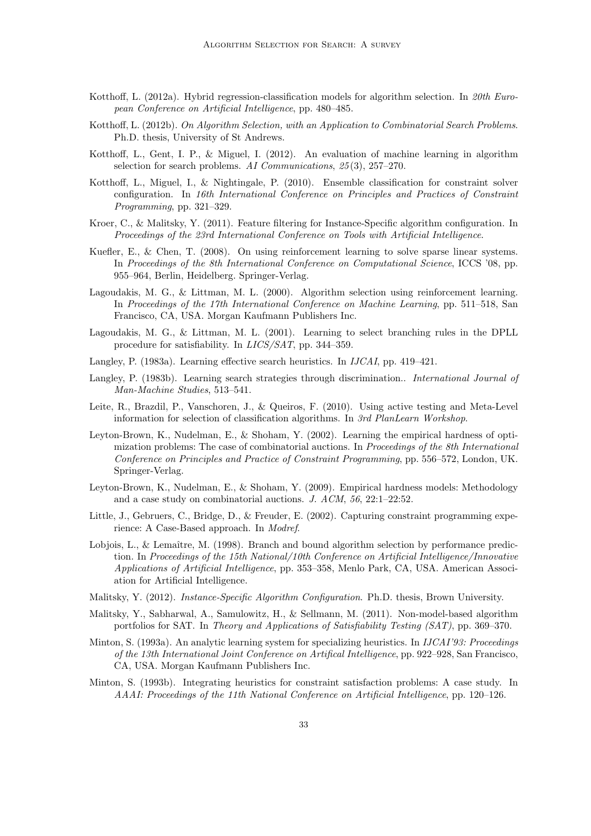- Kotthoff, L. (2012a). Hybrid regression-classification models for algorithm selection. In *20th European Conference on Artificial Intelligence*, pp. 480–485.
- Kotthoff, L. (2012b). *On Algorithm Selection, with an Application to Combinatorial Search Problems*. Ph.D. thesis, University of St Andrews.
- Kotthoff, L., Gent, I. P., & Miguel, I. (2012). An evaluation of machine learning in algorithm selection for search problems. *AI Communications*, *25* (3), 257–270.
- Kotthoff, L., Miguel, I., & Nightingale, P. (2010). Ensemble classification for constraint solver configuration. In *16th International Conference on Principles and Practices of Constraint Programming*, pp. 321–329.
- Kroer, C., & Malitsky, Y. (2011). Feature filtering for Instance-Specific algorithm configuration. In *Proceedings of the 23rd International Conference on Tools with Artificial Intelligence*.
- Kuefler, E., & Chen, T. (2008). On using reinforcement learning to solve sparse linear systems. In *Proceedings of the 8th International Conference on Computational Science*, ICCS '08, pp. 955–964, Berlin, Heidelberg. Springer-Verlag.
- Lagoudakis, M. G., & Littman, M. L. (2000). Algorithm selection using reinforcement learning. In *Proceedings of the 17th International Conference on Machine Learning*, pp. 511–518, San Francisco, CA, USA. Morgan Kaufmann Publishers Inc.
- Lagoudakis, M. G., & Littman, M. L. (2001). Learning to select branching rules in the DPLL procedure for satisfiability. In *LICS/SAT*, pp. 344–359.
- Langley, P. (1983a). Learning effective search heuristics. In *IJCAI*, pp. 419–421.
- Langley, P. (1983b). Learning search strategies through discrimination.. *International Journal of Man-Machine Studies*, 513–541.
- Leite, R., Brazdil, P., Vanschoren, J., & Queiros, F. (2010). Using active testing and Meta-Level information for selection of classification algorithms. In *3rd PlanLearn Workshop*.
- Leyton-Brown, K., Nudelman, E., & Shoham, Y. (2002). Learning the empirical hardness of optimization problems: The case of combinatorial auctions. In *Proceedings of the 8th International Conference on Principles and Practice of Constraint Programming*, pp. 556–572, London, UK. Springer-Verlag.
- Leyton-Brown, K., Nudelman, E., & Shoham, Y. (2009). Empirical hardness models: Methodology and a case study on combinatorial auctions. *J. ACM*, *56*, 22:1–22:52.
- Little, J., Gebruers, C., Bridge, D., & Freuder, E. (2002). Capturing constraint programming experience: A Case-Based approach. In *Modref*.
- Lobjois, L., & Lemaître, M. (1998). Branch and bound algorithm selection by performance prediction. In *Proceedings of the 15th National/10th Conference on Artificial Intelligence/Innovative Applications of Artificial Intelligence*, pp. 353–358, Menlo Park, CA, USA. American Association for Artificial Intelligence.
- Malitsky, Y. (2012). *Instance-Specific Algorithm Configuration*. Ph.D. thesis, Brown University.
- Malitsky, Y., Sabharwal, A., Samulowitz, H., & Sellmann, M. (2011). Non-model-based algorithm portfolios for SAT. In *Theory and Applications of Satisfiability Testing (SAT)*, pp. 369–370.
- Minton, S. (1993a). An analytic learning system for specializing heuristics. In *IJCAI'93: Proceedings of the 13th International Joint Conference on Artifical Intelligence*, pp. 922–928, San Francisco, CA, USA. Morgan Kaufmann Publishers Inc.
- Minton, S. (1993b). Integrating heuristics for constraint satisfaction problems: A case study. In *AAAI: Proceedings of the 11th National Conference on Artificial Intelligence*, pp. 120–126.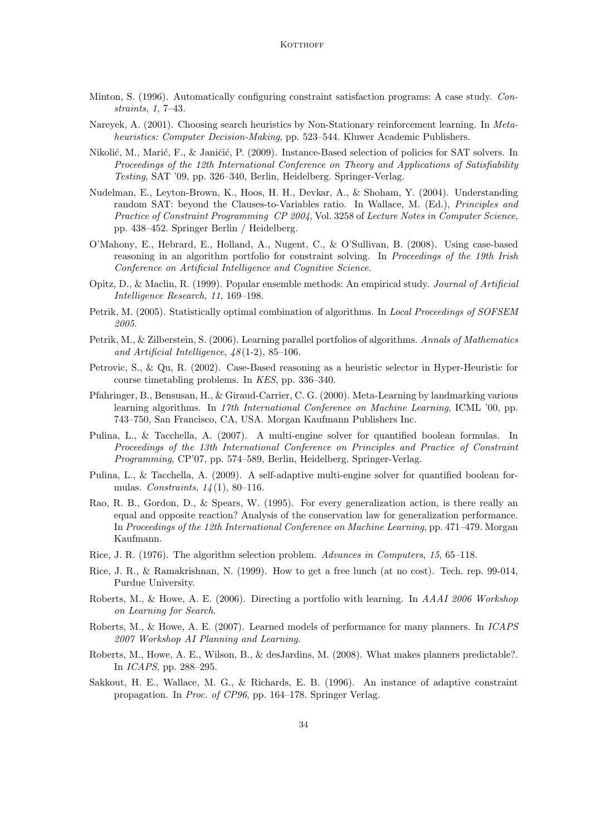- Minton, S. (1996). Automatically configuring constraint satisfaction programs: A case study. *Constraints*, *1*, 7–43.
- Nareyek, A. (2001). Choosing search heuristics by Non-Stationary reinforcement learning. In *Metaheuristics: Computer Decision-Making*, pp. 523–544. Kluwer Academic Publishers.
- Nikolić, M., Marić, F., & Janičić, P. (2009). Instance-Based selection of policies for SAT solvers. In *Proceedings of the 12th International Conference on Theory and Applications of Satisfiability Testing*, SAT '09, pp. 326–340, Berlin, Heidelberg. Springer-Verlag.
- Nudelman, E., Leyton-Brown, K., Hoos, H. H., Devkar, A., & Shoham, Y. (2004). Understanding random SAT: beyond the Clauses-to-Variables ratio. In Wallace, M. (Ed.), *Principles and Practice of Constraint Programming CP 2004*, Vol. 3258 of *Lecture Notes in Computer Science*, pp. 438–452. Springer Berlin / Heidelberg.
- O'Mahony, E., Hebrard, E., Holland, A., Nugent, C., & O'Sullivan, B. (2008). Using case-based reasoning in an algorithm portfolio for constraint solving. In *Proceedings of the 19th Irish Conference on Artificial Intelligence and Cognitive Science*.
- Opitz, D., & Maclin, R. (1999). Popular ensemble methods: An empirical study. *Journal of Artificial Intelligence Research*, *11*, 169–198.
- Petrik, M. (2005). Statistically optimal combination of algorithms. In *Local Proceedings of SOFSEM 2005*.
- Petrik, M., & Zilberstein, S. (2006). Learning parallel portfolios of algorithms. *Annals of Mathematics and Artificial Intelligence*, *48* (1-2), 85–106.
- Petrovic, S., & Qu, R. (2002). Case-Based reasoning as a heuristic selector in Hyper-Heuristic for course timetabling problems. In *KES*, pp. 336–340.
- Pfahringer, B., Bensusan, H., & Giraud-Carrier, C. G. (2000). Meta-Learning by landmarking various learning algorithms. In *17th International Conference on Machine Learning*, ICML '00, pp. 743–750, San Francisco, CA, USA. Morgan Kaufmann Publishers Inc.
- Pulina, L., & Tacchella, A. (2007). A multi-engine solver for quantified boolean formulas. In *Proceedings of the 13th International Conference on Principles and Practice of Constraint Programming*, CP'07, pp. 574–589, Berlin, Heidelberg. Springer-Verlag.
- Pulina, L., & Tacchella, A. (2009). A self-adaptive multi-engine solver for quantified boolean formulas. *Constraints*, *14* (1), 80–116.
- Rao, R. B., Gordon, D., & Spears, W. (1995). For every generalization action, is there really an equal and opposite reaction? Analysis of the conservation law for generalization performance. In *Proceedings of the 12th International Conference on Machine Learning*, pp. 471–479. Morgan Kaufmann.
- Rice, J. R. (1976). The algorithm selection problem. *Advances in Computers*, *15*, 65–118.
- Rice, J. R., & Ramakrishnan, N. (1999). How to get a free lunch (at no cost). Tech. rep. 99-014, Purdue University.
- Roberts, M., & Howe, A. E. (2006). Directing a portfolio with learning. In *AAAI 2006 Workshop on Learning for Search*.
- Roberts, M., & Howe, A. E. (2007). Learned models of performance for many planners. In *ICAPS 2007 Workshop AI Planning and Learning*.
- Roberts, M., Howe, A. E., Wilson, B., & desJardins, M. (2008). What makes planners predictable?. In *ICAPS*, pp. 288–295.
- Sakkout, H. E., Wallace, M. G., & Richards, E. B. (1996). An instance of adaptive constraint propagation. In *Proc. of CP96*, pp. 164–178. Springer Verlag.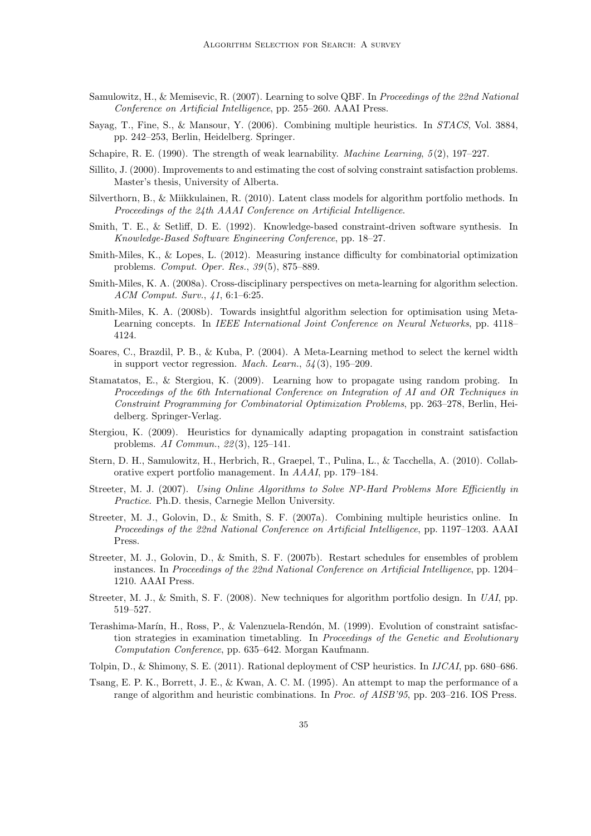- Samulowitz, H., & Memisevic, R. (2007). Learning to solve QBF. In *Proceedings of the 22nd National Conference on Artificial Intelligence*, pp. 255–260. AAAI Press.
- Sayag, T., Fine, S., & Mansour, Y. (2006). Combining multiple heuristics. In *STACS*, Vol. 3884, pp. 242–253, Berlin, Heidelberg. Springer.
- Schapire, R. E. (1990). The strength of weak learnability. *Machine Learning*, *5* (2), 197–227.
- Sillito, J. (2000). Improvements to and estimating the cost of solving constraint satisfaction problems. Master's thesis, University of Alberta.
- Silverthorn, B., & Miikkulainen, R. (2010). Latent class models for algorithm portfolio methods. In *Proceedings of the 24th AAAI Conference on Artificial Intelligence*.
- Smith, T. E., & Setliff, D. E. (1992). Knowledge-based constraint-driven software synthesis. In *Knowledge-Based Software Engineering Conference*, pp. 18–27.
- Smith-Miles, K., & Lopes, L. (2012). Measuring instance difficulty for combinatorial optimization problems. *Comput. Oper. Res.*, *39* (5), 875–889.
- Smith-Miles, K. A. (2008a). Cross-disciplinary perspectives on meta-learning for algorithm selection. *ACM Comput. Surv.*, *41*, 6:1–6:25.
- Smith-Miles, K. A. (2008b). Towards insightful algorithm selection for optimisation using Meta-Learning concepts. In *IEEE International Joint Conference on Neural Networks*, pp. 4118– 4124.
- Soares, C., Brazdil, P. B., & Kuba, P. (2004). A Meta-Learning method to select the kernel width in support vector regression. *Mach. Learn.*, *54* (3), 195–209.
- Stamatatos, E., & Stergiou, K. (2009). Learning how to propagate using random probing. In *Proceedings of the 6th International Conference on Integration of AI and OR Techniques in Constraint Programming for Combinatorial Optimization Problems*, pp. 263–278, Berlin, Heidelberg. Springer-Verlag.
- Stergiou, K. (2009). Heuristics for dynamically adapting propagation in constraint satisfaction problems. *AI Commun.*, *22* (3), 125–141.
- Stern, D. H., Samulowitz, H., Herbrich, R., Graepel, T., Pulina, L., & Tacchella, A. (2010). Collaborative expert portfolio management. In *AAAI*, pp. 179–184.
- Streeter, M. J. (2007). *Using Online Algorithms to Solve NP-Hard Problems More Efficiently in Practice*. Ph.D. thesis, Carnegie Mellon University.
- Streeter, M. J., Golovin, D., & Smith, S. F. (2007a). Combining multiple heuristics online. In *Proceedings of the 22nd National Conference on Artificial Intelligence*, pp. 1197–1203. AAAI Press.
- Streeter, M. J., Golovin, D., & Smith, S. F. (2007b). Restart schedules for ensembles of problem instances. In *Proceedings of the 22nd National Conference on Artificial Intelligence*, pp. 1204– 1210. AAAI Press.
- Streeter, M. J., & Smith, S. F. (2008). New techniques for algorithm portfolio design. In *UAI*, pp. 519–527.
- Terashima-Marín, H., Ross, P., & Valenzuela-Rendón, M. (1999). Evolution of constraint satisfaction strategies in examination timetabling. In *Proceedings of the Genetic and Evolutionary Computation Conference*, pp. 635–642. Morgan Kaufmann.
- Tolpin, D., & Shimony, S. E. (2011). Rational deployment of CSP heuristics. In *IJCAI*, pp. 680–686.
- Tsang, E. P. K., Borrett, J. E., & Kwan, A. C. M. (1995). An attempt to map the performance of a range of algorithm and heuristic combinations. In *Proc. of AISB'95*, pp. 203–216. IOS Press.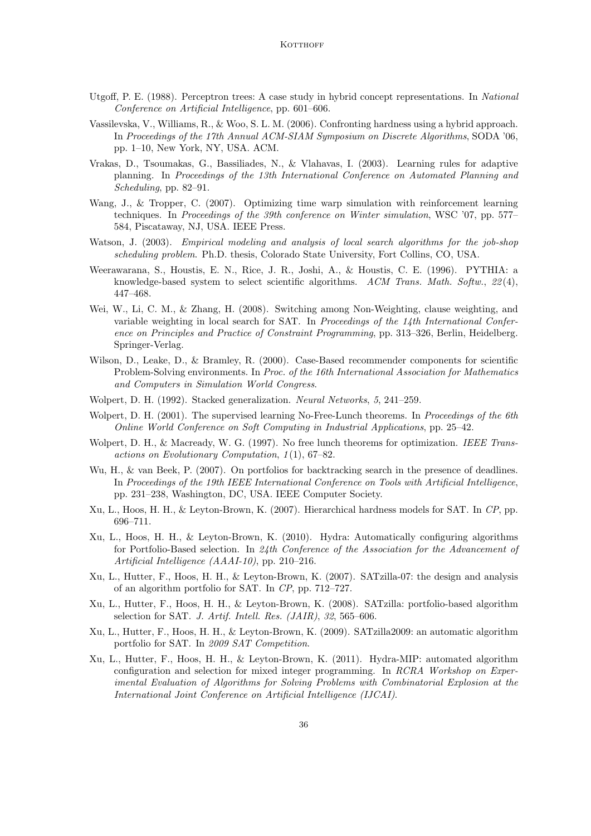- Utgoff, P. E. (1988). Perceptron trees: A case study in hybrid concept representations. In *National Conference on Artificial Intelligence*, pp. 601–606.
- Vassilevska, V., Williams, R., & Woo, S. L. M. (2006). Confronting hardness using a hybrid approach. In *Proceedings of the 17th Annual ACM-SIAM Symposium on Discrete Algorithms*, SODA '06, pp. 1–10, New York, NY, USA. ACM.
- Vrakas, D., Tsoumakas, G., Bassiliades, N., & Vlahavas, I. (2003). Learning rules for adaptive planning. In *Proceedings of the 13th International Conference on Automated Planning and Scheduling*, pp. 82–91.
- Wang, J., & Tropper, C. (2007). Optimizing time warp simulation with reinforcement learning techniques. In *Proceedings of the 39th conference on Winter simulation*, WSC '07, pp. 577– 584, Piscataway, NJ, USA. IEEE Press.
- Watson, J. (2003). *Empirical modeling and analysis of local search algorithms for the job-shop scheduling problem*. Ph.D. thesis, Colorado State University, Fort Collins, CO, USA.
- Weerawarana, S., Houstis, E. N., Rice, J. R., Joshi, A., & Houstis, C. E. (1996). PYTHIA: a knowledge-based system to select scientific algorithms. *ACM Trans. Math. Softw.*, *22* (4), 447–468.
- Wei, W., Li, C. M., & Zhang, H. (2008). Switching among Non-Weighting, clause weighting, and variable weighting in local search for SAT. In *Proceedings of the 14th International Conference on Principles and Practice of Constraint Programming*, pp. 313–326, Berlin, Heidelberg. Springer-Verlag.
- Wilson, D., Leake, D., & Bramley, R. (2000). Case-Based recommender components for scientific Problem-Solving environments. In *Proc. of the 16th International Association for Mathematics and Computers in Simulation World Congress*.
- Wolpert, D. H. (1992). Stacked generalization. *Neural Networks*, *5*, 241–259.
- Wolpert, D. H. (2001). The supervised learning No-Free-Lunch theorems. In *Proceedings of the 6th Online World Conference on Soft Computing in Industrial Applications*, pp. 25–42.
- Wolpert, D. H., & Macready, W. G. (1997). No free lunch theorems for optimization. *IEEE Transactions on Evolutionary Computation*, *1* (1), 67–82.
- Wu, H., & van Beek, P. (2007). On portfolios for backtracking search in the presence of deadlines. In *Proceedings of the 19th IEEE International Conference on Tools with Artificial Intelligence*, pp. 231–238, Washington, DC, USA. IEEE Computer Society.
- Xu, L., Hoos, H. H., & Leyton-Brown, K. (2007). Hierarchical hardness models for SAT. In *CP*, pp. 696–711.
- Xu, L., Hoos, H. H., & Leyton-Brown, K. (2010). Hydra: Automatically configuring algorithms for Portfolio-Based selection. In *24th Conference of the Association for the Advancement of Artificial Intelligence (AAAI-10)*, pp. 210–216.
- Xu, L., Hutter, F., Hoos, H. H., & Leyton-Brown, K. (2007). SATzilla-07: the design and analysis of an algorithm portfolio for SAT. In *CP*, pp. 712–727.
- Xu, L., Hutter, F., Hoos, H. H., & Leyton-Brown, K. (2008). SATzilla: portfolio-based algorithm selection for SAT. *J. Artif. Intell. Res. (JAIR)*, *32*, 565–606.
- Xu, L., Hutter, F., Hoos, H. H., & Leyton-Brown, K. (2009). SATzilla2009: an automatic algorithm portfolio for SAT. In *2009 SAT Competition*.
- Xu, L., Hutter, F., Hoos, H. H., & Leyton-Brown, K. (2011). Hydra-MIP: automated algorithm configuration and selection for mixed integer programming. In *RCRA Workshop on Experimental Evaluation of Algorithms for Solving Problems with Combinatorial Explosion at the International Joint Conference on Artificial Intelligence (IJCAI)*.